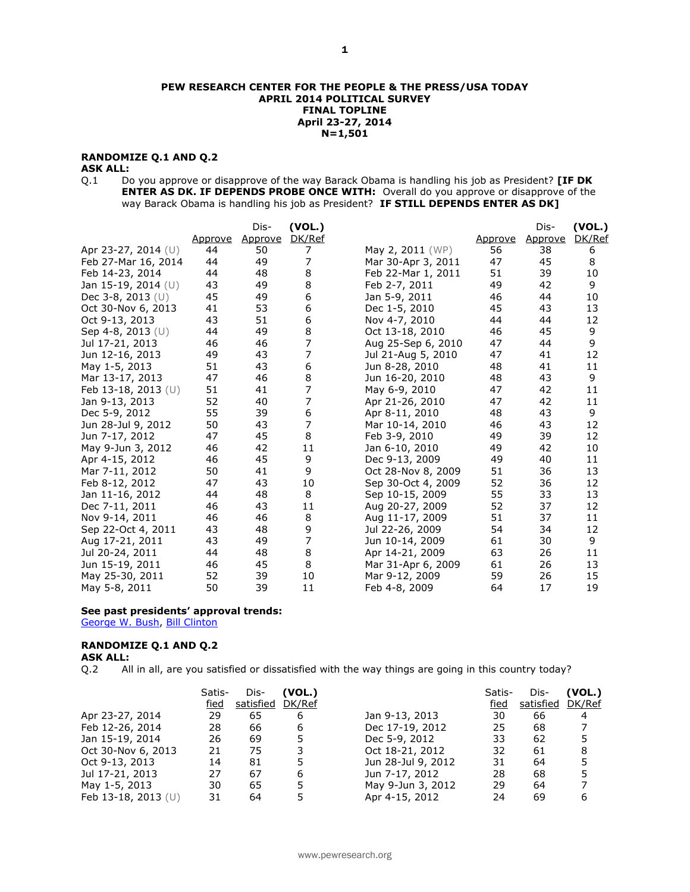#### **PEW RESEARCH CENTER FOR THE PEOPLE & THE PRESS/USA TODAY APRIL 2014 POLITICAL SURVEY FINAL TOPLINE April 23-27, 2014 N=1,501**

## **RANDOMIZE Q.1 AND Q.2**

## **ASK ALL:**

Q.1 Do you approve or disapprove of the way Barack Obama is handling his job as President? **[IF DK ENTER AS DK. IF DEPENDS PROBE ONCE WITH:** Overall do you approve or disapprove of the way Barack Obama is handling his job as President? **IF STILL DEPENDS ENTER AS DK]**

|                     |         | Dis-    | (VOL.)         |                    |         | Dis-    | (VOL.) |
|---------------------|---------|---------|----------------|--------------------|---------|---------|--------|
|                     | Approve | Approve | DK/Ref         |                    | Approve | Approve | DK/Ref |
| Apr 23-27, 2014 (U) | 44      | 50      | 7              | May 2, 2011 (WP)   | 56      | 38      | 6      |
| Feb 27-Mar 16, 2014 | 44      | 49      | 7              | Mar 30-Apr 3, 2011 | 47      | 45      | 8      |
| Feb 14-23, 2014     | 44      | 48      | 8              | Feb 22-Mar 1, 2011 | 51      | 39      | 10     |
| Jan 15-19, 2014 (U) | 43      | 49      | 8              | Feb 2-7, 2011      | 49      | 42      | 9      |
| Dec 3-8, 2013 (U)   | 45      | 49      | 6              | Jan 5-9, 2011      | 46      | 44      | 10     |
| Oct 30-Nov 6, 2013  | 41      | 53      | 6              | Dec 1-5, 2010      | 45      | 43      | 13     |
| Oct 9-13, 2013      | 43      | 51      | 6              | Nov 4-7, 2010      | 44      | 44      | 12     |
| Sep 4-8, 2013 (U)   | 44      | 49      | 8              | Oct 13-18, 2010    | 46      | 45      | 9      |
| Jul 17-21, 2013     | 46      | 46      | $\overline{7}$ | Aug 25-Sep 6, 2010 | 47      | 44      | 9      |
| Jun 12-16, 2013     | 49      | 43      | 7              | Jul 21-Aug 5, 2010 | 47      | 41      | 12     |
| May 1-5, 2013       | 51      | 43      | 6              | Jun 8-28, 2010     | 48      | 41      | 11     |
| Mar 13-17, 2013     | 47      | 46      | 8              | Jun 16-20, 2010    | 48      | 43      | 9      |
| Feb 13-18, 2013 (U) | 51      | 41      | 7              | May 6-9, 2010      | 47      | 42      | 11     |
| Jan 9-13, 2013      | 52      | 40      | 7              | Apr 21-26, 2010    | 47      | 42      | 11     |
| Dec 5-9, 2012       | 55      | 39      | 6              | Apr 8-11, 2010     | 48      | 43      | 9      |
| Jun 28-Jul 9, 2012  | 50      | 43      | 7              | Mar 10-14, 2010    | 46      | 43      | 12     |
| Jun 7-17, 2012      | 47      | 45      | 8              | Feb 3-9, 2010      | 49      | 39      | 12     |
| May 9-Jun 3, 2012   | 46      | 42      | 11             | Jan 6-10, 2010     | 49      | 42      | 10     |
| Apr 4-15, 2012      | 46      | 45      | 9              | Dec 9-13, 2009     | 49      | 40      | 11     |
| Mar 7-11, 2012      | 50      | 41      | 9              | Oct 28-Nov 8, 2009 | 51      | 36      | 13     |
| Feb 8-12, 2012      | 47      | 43      | 10             | Sep 30-Oct 4, 2009 | 52      | 36      | 12     |
| Jan 11-16, 2012     | 44      | 48      | 8              | Sep 10-15, 2009    | 55      | 33      | 13     |
| Dec 7-11, 2011      | 46      | 43      | 11             | Aug 20-27, 2009    | 52      | 37      | 12     |
| Nov 9-14, 2011      | 46      | 46      | 8              | Aug 11-17, 2009    | 51      | 37      | 11     |
| Sep 22-Oct 4, 2011  | 43      | 48      | 9              | Jul 22-26, 2009    | 54      | 34      | 12     |
| Aug 17-21, 2011     | 43      | 49      | 7              | Jun 10-14, 2009    | 61      | 30      | 9      |
| Jul 20-24, 2011     | 44      | 48      | 8              | Apr 14-21, 2009    | 63      | 26      | 11     |
| Jun 15-19, 2011     | 46      | 45      | 8              | Mar 31-Apr 6, 2009 | 61      | 26      | 13     |
| May 25-30, 2011     | 52      | 39      | 10             | Mar 9-12, 2009     | 59      | 26      | 15     |
| May 5-8, 2011       | 50      | 39      | 11             | Feb 4-8, 2009      | 64      | 17      | 19     |

## **See past presidents' approval trends:**

[George W. Bush,](http://www.people-press.org/files/legacy-questionnaires/483.pdf) [Bill Clinton](http://www.people-press.org/files/legacy-questionnaires/18.pdf)

## **RANDOMIZE Q.1 AND Q.2**

#### **ASK ALL:**

Q.2 All in all, are you satisfied or dissatisfied with the way things are going in this country today?

|                       | Satis- | Dis-      | (VOL.) |                    | Satis- | Dis-      | (VOL.) |
|-----------------------|--------|-----------|--------|--------------------|--------|-----------|--------|
|                       | fied   | satisfied | DK/Ref |                    | fied   | satisfied | DK/Ref |
| Apr 23-27, 2014       | 29     | 65        | 6      | Jan 9-13, 2013     | 30     | 66        | 4      |
| Feb 12-26, 2014       | 28     | 66        | 6      | Dec 17-19, 2012    | 25     | 68        |        |
| Jan 15-19, 2014       | 26     | 69        | 5.     | Dec 5-9, 2012      | 33     | 62        |        |
| Oct 30-Nov 6, 2013    | 21     | 75        |        | Oct 18-21, 2012    | 32     | 61        | 8      |
| Oct 9-13, 2013        | 14     | 81        |        | Jun 28-Jul 9, 2012 | 31     | 64        |        |
| Jul 17-21, 2013       | 27     | 67        | 6      | Jun 7-17, 2012     | 28     | 68        |        |
| May 1-5, 2013         | 30     | 65        | 5      | May 9-Jun 3, 2012  | 29     | 64        |        |
| Feb 13-18, 2013 $(U)$ | 31     | 64        |        | Apr 4-15, 2012     | 24     | 69        | 6      |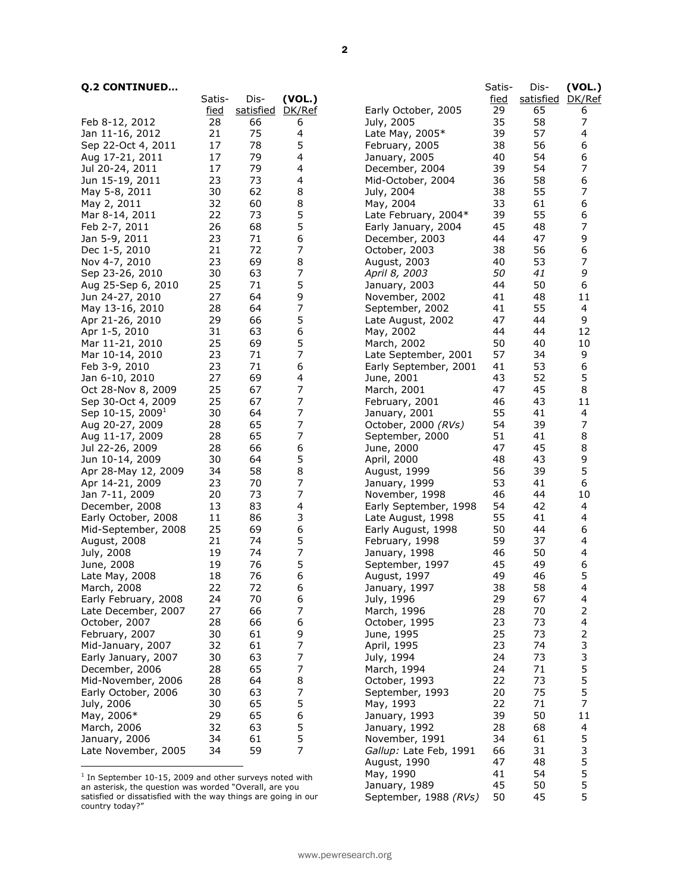## **Q.2 CONTINUED…**

| <b>Q.2 CONTINUED</b>                                      |             |           |        |                        | Satis-      | Dis-      | (VOL.)                   |
|-----------------------------------------------------------|-------------|-----------|--------|------------------------|-------------|-----------|--------------------------|
|                                                           | Satis-      | Dis-      | (VOL.) |                        | <u>fied</u> | satisfied | DK/Ref                   |
|                                                           | <u>fied</u> | satisfied | DK/Ref | Early October, 2005    | 29          | 65        | 6                        |
| Feb 8-12, 2012                                            | 28          | 66        | 6      | July, 2005             | 35          | 58        | 7                        |
| Jan 11-16, 2012                                           | 21          | 75        | 4      | Late May, 2005*        | 39          | 57        | 4                        |
| Sep 22-Oct 4, 2011                                        | 17          | 78        | 5      | February, 2005         | 38          | 56        | 6                        |
| Aug 17-21, 2011                                           | 17          | 79        | 4      | January, 2005          | 40          | 54        | 6                        |
| Jul 20-24, 2011                                           | 17          | 79        | 4      | December, 2004         | 39          | 54        | 7                        |
| Jun 15-19, 2011                                           | 23          | 73        | 4      | Mid-October, 2004      | 36          | 58        | 6                        |
| May 5-8, 2011                                             | 30          | 62        | 8      | July, 2004             | 38          | 55        | 7                        |
| May 2, 2011                                               | 32          | 60        | 8      | May, 2004              | 33          | 61        | 6                        |
| Mar 8-14, 2011                                            | 22          | 73        | 5      | Late February, 2004*   | 39          | 55        | 6                        |
| Feb 2-7, 2011                                             | 26          | 68        | 5      | Early January, 2004    | 45          | 48        | 7                        |
| Jan 5-9, 2011                                             | 23          | 71        | 6      | December, 2003         | 44          | 47        | 9                        |
| Dec 1-5, 2010                                             | 21          | 72        | 7      | October, 2003          | 38          | 56        | 6                        |
| Nov 4-7, 2010                                             | 23          | 69        | 8      | August, 2003           | 40          | 53        | 7                        |
| Sep 23-26, 2010                                           | 30          | 63        | 7      | April 8, 2003          | 50          | 41        | 9                        |
| Aug 25-Sep 6, 2010                                        | 25          | 71        | 5      | January, 2003          | 44          | 50        | 6                        |
| Jun 24-27, 2010                                           | 27          | 64        | 9      | November, 2002         | 41          | 48        | 11                       |
| May 13-16, 2010                                           | 28          | 64        | 7      | September, 2002        | 41          | 55        | 4                        |
| Apr 21-26, 2010                                           | 29          | 66        | 5      | Late August, 2002      | 47          | 44        | 9                        |
| Apr 1-5, 2010                                             | 31          | 63        | 6      | May, 2002              | 44          | 44        | 12                       |
| Mar 11-21, 2010                                           | 25          | 69        | 5      | March, 2002            | 50          | 40        | 10                       |
| Mar 10-14, 2010                                           | 23          | 71        | 7      | Late September, 2001   | 57          | 34        | 9                        |
| Feb 3-9, 2010                                             | 23          | 71        | 6      | Early September, 2001  | 41          | 53        | 6                        |
| Jan 6-10, 2010                                            | 27          | 69        | 4      | June, 2001             | 43          | 52        | 5                        |
| Oct 28-Nov 8, 2009                                        | 25          | 67        | 7      | March, 2001            | 47          | 45        | 8                        |
| Sep 30-Oct 4, 2009                                        | 25          | 67        | 7      | February, 2001         | 46          | 43        | 11                       |
| Sep 10-15, 2009 <sup>1</sup>                              | 30          | 64        | 7      | January, 2001          | 55          | 41        | $\overline{\mathcal{A}}$ |
| Aug 20-27, 2009                                           | 28          | 65        | 7      | October, 2000 (RVs)    | 54          | 39        | 7                        |
| Aug 11-17, 2009                                           | 28          | 65        | 7      | September, 2000        | 51          | 41        | 8                        |
| Jul 22-26, 2009                                           | 28          | 66        | 6      | June, 2000             | 47          | 45        | 8                        |
| Jun 10-14, 2009                                           | 30          | 64        | 5      | April, 2000            | 48          | 43        | 9                        |
| Apr 28-May 12, 2009                                       | 34          | 58        | 8      | August, 1999           | 56          | 39        | 5                        |
| Apr 14-21, 2009                                           | 23          | 70        | 7      | January, 1999          | 53          | 41        | 6                        |
| Jan 7-11, 2009                                            | 20          | 73        | 7      | November, 1998         | 46          | 44        | 10                       |
| December, 2008                                            | 13          | 83        | 4      | Early September, 1998  | 54          | 42        | $\overline{\mathcal{A}}$ |
| Early October, 2008                                       | 11          | 86        | 3      | Late August, 1998      | 55          | 41        | 4                        |
| Mid-September, 2008                                       | 25          | 69        | 6      | Early August, 1998     | 50          | 44        | 6                        |
| August, 2008                                              | 21          | 74        | 5      | February, 1998         | 59          | 37        | 4                        |
| July, 2008                                                | 19          | 74        | 7      | January, 1998          | 46          | 50        | 4                        |
| June, 2008                                                | 19          | 76        | 5      | September, 1997        | 45          | 49        | 6                        |
| Late May, 2008                                            | 18          | 76        | 6      | August, 1997           | 49          | 46        | 5                        |
| March, 2008                                               | 22          | 72        | 6      | January, 1997          | 38          | 58        | 4                        |
| Early February, 2008                                      | 24          | 70        | 6      | July, 1996             | 29          | 67        | 4                        |
| Late December, 2007                                       | 27          | 66        | 7      | March, 1996            | 28          | 70        | 2                        |
| October, 2007                                             | 28          | 66        | 6      | October, 1995          | 23          | 73        | $\overline{\mathcal{A}}$ |
| February, 2007                                            | 30          | 61        | 9      | June, 1995             | 25          | 73        | 2                        |
| Mid-January, 2007                                         | 32          | 61        | 7      | April, 1995            | 23          | 74        | 3                        |
| Early January, 2007                                       | 30          | 63        | 7      | July, 1994             | 24          | 73        | 3                        |
| December, 2006                                            | 28          | 65        | 7      | March, 1994            | 24          | 71        | 5                        |
| Mid-November, 2006                                        | 28          | 64        | 8      | October, 1993          | 22          | 73        | 5                        |
|                                                           |             |           |        |                        |             | 75        | 5                        |
| Early October, 2006                                       | 30          | 63        | 7      | September, 1993        | 20          |           |                          |
| July, 2006                                                | 30          | 65        | 5      | May, 1993              | 22          | 71        | $\overline{7}$           |
| May, 2006*                                                | 29          | 65        | 6      | January, 1993          | 39          | 50        | 11                       |
| March, 2006                                               | 32          | 63        | 5      | January, 1992          | 28          | 68        | 4                        |
| January, 2006                                             | 34          | 61        | 5      | November, 1991         | 34          | 61        | 5                        |
| Late November, 2005                                       | 34          | 59        | 7      | Gallup: Late Feb, 1991 | 66          | 31        | 3                        |
|                                                           |             |           |        | August, 1990           | 47          | 48        | 5                        |
| $1$ In September 10-15, 2009 and other surveys noted with |             |           |        | May, 1990              | 41          | 54        | 5                        |
| an asterisk, the question was worded "Overall, are you    |             |           |        | January, 1989          | 45          | 50        | 5                        |

an asterisk, the question was worded "Overall, are you satisfied or dissatisfied with the way things are going in our country today?"

January, 1989  $\overline{45}$ 

September, 1988 *(RVs)* 50 45 5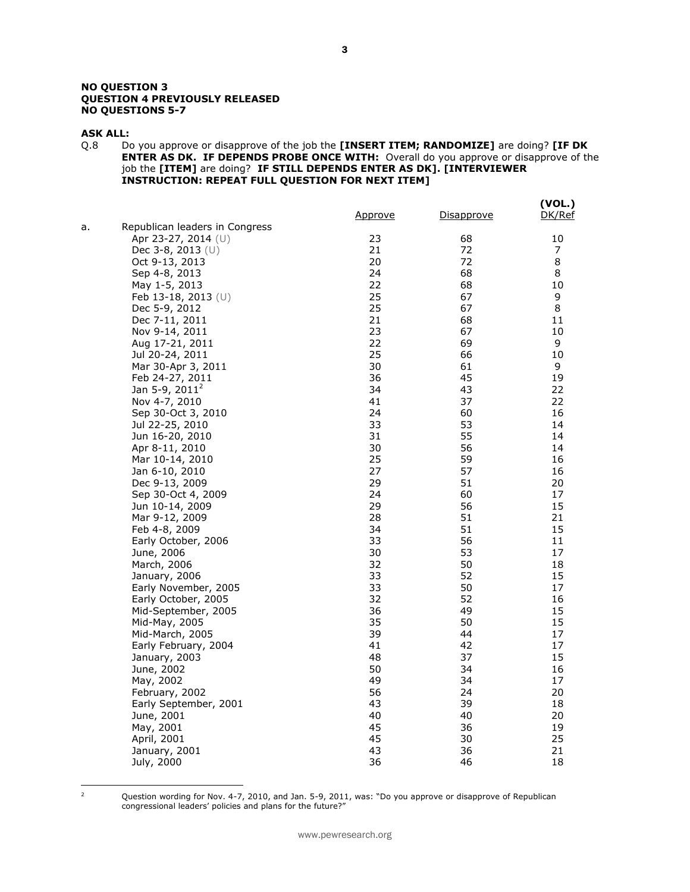#### **NO QUESTION 3 QUESTION 4 PREVIOUSLY RELEASED NO QUESTIONS 5-7**

#### **ASK ALL:**

Q.8 Do you approve or disapprove of the job the **[INSERT ITEM; RANDOMIZE]** are doing? **[IF DK ENTER AS DK. IF DEPENDS PROBE ONCE WITH:** Overall do you approve or disapprove of the job the **[ITEM]** are doing? **IF STILL DEPENDS ENTER AS DK]. [INTERVIEWER INSTRUCTION: REPEAT FULL QUESTION FOR NEXT ITEM]**

|    |                                | <u>Approve</u> | <u>Disapprove</u> | (VOL.)<br>DK/Ref |
|----|--------------------------------|----------------|-------------------|------------------|
| a. | Republican leaders in Congress |                |                   |                  |
|    | Apr 23-27, 2014 (U)            | 23             | 68                | 10               |
|    | Dec $3-8$ , $2013$ (U)         | 21             | 72                | 7                |
|    | Oct 9-13, 2013                 | 20             | 72                | 8                |
|    | Sep 4-8, 2013                  | 24             | 68                | 8                |
|    | May 1-5, 2013                  | 22             | 68                | 10               |
|    | Feb 13-18, 2013 (U)            | 25             | 67                | 9                |
|    | Dec 5-9, 2012                  | 25             | 67                | 8                |
|    | Dec 7-11, 2011                 | 21             | 68                | 11               |
|    | Nov 9-14, 2011                 | 23             | 67                | 10               |
|    | Aug 17-21, 2011                | 22             | 69                | 9                |
|    | Jul 20-24, 2011                | 25             | 66                | 10               |
|    | Mar 30-Apr 3, 2011             | 30             | 61                | 9                |
|    | Feb 24-27, 2011                | 36             | 45                | 19               |
|    | Jan 5-9, $2011^2$              | 34             | 43                | 22               |
|    | Nov 4-7, 2010                  | 41             | 37                | 22               |
|    | Sep 30-Oct 3, 2010             | 24             | 60                | 16               |
|    | Jul 22-25, 2010                | 33             | 53                | 14               |
|    | Jun 16-20, 2010                | 31             | 55                | 14               |
|    | Apr 8-11, 2010                 | 30             | 56                | 14               |
|    | Mar 10-14, 2010                | 25             | 59                | 16               |
|    | Jan 6-10, 2010                 | 27             | 57                | 16               |
|    | Dec 9-13, 2009                 | 29             | 51                | 20               |
|    | Sep 30-Oct 4, 2009             | 24             | 60                | 17               |
|    | Jun 10-14, 2009                | 29             | 56                | 15               |
|    | Mar 9-12, 2009                 | 28             | 51                | 21               |
|    | Feb 4-8, 2009                  | 34             | 51                | 15               |
|    | Early October, 2006            | 33             | 56                | 11               |
|    | June, 2006                     | 30             | 53                | 17               |
|    | March, 2006                    | 32             | 50                | 18               |
|    | January, 2006                  | 33             | 52                | 15               |
|    | Early November, 2005           | 33             | 50                | 17               |
|    | Early October, 2005            | 32             | 52                | 16               |
|    | Mid-September, 2005            | 36             | 49                | 15               |
|    | Mid-May, 2005                  | 35             | 50                | 15               |
|    | Mid-March, 2005                | 39             | 44                | 17               |
|    | Early February, 2004           | 41             | 42                | 17               |
|    | January, 2003                  | 48             | 37                | 15               |
|    | June, 2002                     | 50             | 34                | 16               |
|    | May, 2002                      | 49             | 34                | 17               |
|    | February, 2002                 | 56             | 24                | 20               |
|    | Early September, 2001          | 43             | 39                | 18               |
|    | June, 2001                     | 40             | 40                | 20               |
|    | May, 2001                      | 45<br>45       | 36<br>30          | 19<br>25         |
|    | April, 2001                    |                |                   |                  |
|    | January, 2001                  | 43<br>36       | 36<br>46          | 21               |
|    | July, 2000                     |                |                   | 18               |

 $\mathbf 2$ 

<sup>2</sup> Question wording for Nov. 4-7, 2010, and Jan. 5-9, 2011, was: "Do you approve or disapprove of Republican congressional leaders' policies and plans for the future?"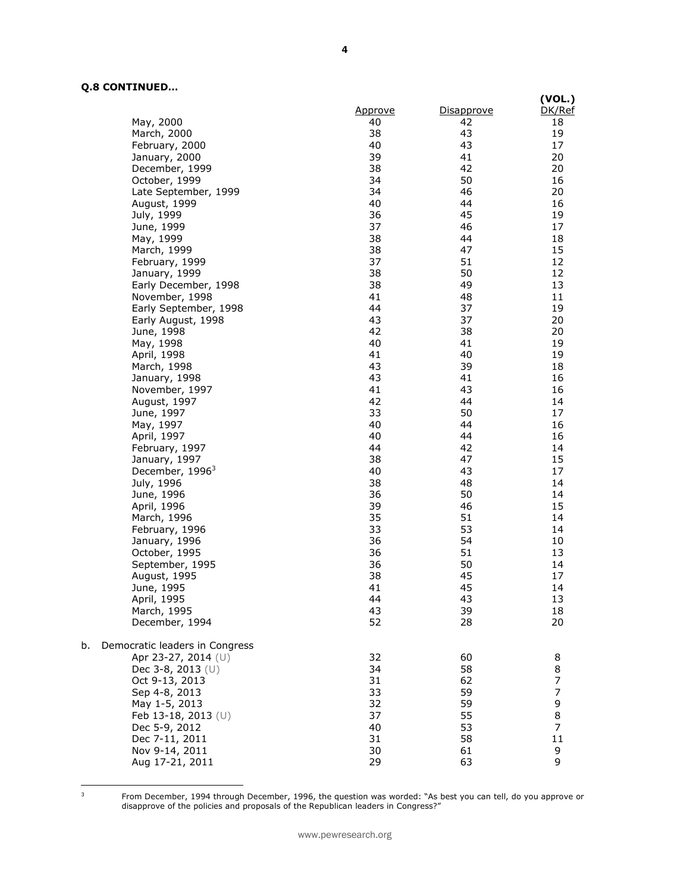## **Q.8 CONTINUED…**

|    |                                | Approve  | Disapprove | (VOL.)<br>DK/Ref |
|----|--------------------------------|----------|------------|------------------|
|    | May, 2000                      | 40       | 42         | 18               |
|    | March, 2000                    | 38       | 43         | 19               |
|    | February, 2000                 | 40       | 43         | 17               |
|    | January, 2000                  | 39       | 41         | 20               |
|    | December, 1999                 | 38       | 42         | 20               |
|    | October, 1999                  | 34       | 50         | 16               |
|    | Late September, 1999           | 34       | 46         | 20               |
|    | August, 1999                   | 40       | 44         | 16               |
|    | July, 1999                     | 36       | 45         | 19               |
|    | June, 1999                     | 37       | 46         | 17               |
|    | May, 1999                      | 38       | 44         | 18               |
|    | March, 1999                    | 38       | 47         | 15               |
|    | February, 1999                 | 37       | 51         | 12               |
|    | January, 1999                  | 38       | 50         | 12               |
|    | Early December, 1998           | 38       | 49         | 13               |
|    | November, 1998                 | 41       | 48         | 11               |
|    | Early September, 1998          | 44       | 37         | 19               |
|    | Early August, 1998             | 43       | 37         | 20               |
|    | June, 1998                     | 42       | 38         | 20               |
|    | May, 1998                      | 40       | 41         | 19               |
|    |                                | 41       | 40         | 19               |
|    | April, 1998<br>March, 1998     | 43       | 39         | 18               |
|    | January, 1998                  | 43       | 41         | 16               |
|    |                                | 41       | 43         | 16               |
|    | November, 1997                 | 42       | 44         | 14               |
|    | August, 1997<br>June, 1997     | 33       | 50         | 17               |
|    |                                | 40       | 44         | 16               |
|    | May, 1997                      | 40       | 44         | 16               |
|    | April, 1997                    | 44       | 42         | 14               |
|    | February, 1997                 |          |            |                  |
|    | January, 1997                  | 38       | 47         | 15<br>17         |
|    | December, 1996 <sup>3</sup>    | 40       | 43         |                  |
|    | July, 1996                     | 38       | 48         | 14<br>14         |
|    | June, 1996                     | 36       | 50<br>46   |                  |
|    | April, 1996                    | 39<br>35 | 51         | 15<br>14         |
|    | March, 1996                    | 33       | 53         | 14               |
|    | February, 1996                 | 36       | 54         | 10               |
|    | January, 1996                  |          | 51         |                  |
|    | October, 1995                  | 36       |            | 13               |
|    | September, 1995                | 36       | 50         | 14<br>17         |
|    | August, 1995                   | 38       | 45<br>45   | 14               |
|    | June, 1995                     | 41       |            |                  |
|    | April, 1995                    | 44       | 43         | 13               |
|    | March, 1995<br>December, 1994  | 43<br>52 | 39<br>28   | 18<br>20         |
| b. | Democratic leaders in Congress |          |            |                  |
|    | Apr 23-27, 2014 (U)            | 32       | 60         | 8                |
|    | Dec 3-8, 2013 (U)              | 34       | 58         | 8                |
|    | Oct 9-13, 2013                 | 31       | 62         | 7                |
|    | Sep 4-8, 2013                  | 33       | 59         | $\overline{7}$   |
|    | May 1-5, 2013                  | 32       | 59         | 9                |
|    | Feb 13-18, 2013 (U)            | 37       | 55         | 8                |
|    | Dec 5-9, 2012                  | 40       | 53         | $\overline{7}$   |
|    | Dec 7-11, 2011                 | 31       | 58         | 11               |
|    | Nov 9-14, 2011                 | 30       | 61         | 9                |
|    | Aug 17-21, 2011                | 29       | 63         | 9                |
|    |                                |          |            |                  |

 $\mathsf 3$ 

<sup>3</sup> From December, 1994 through December, 1996, the question was worded: "As best you can tell, do you approve or disapprove of the policies and proposals of the Republican leaders in Congress?"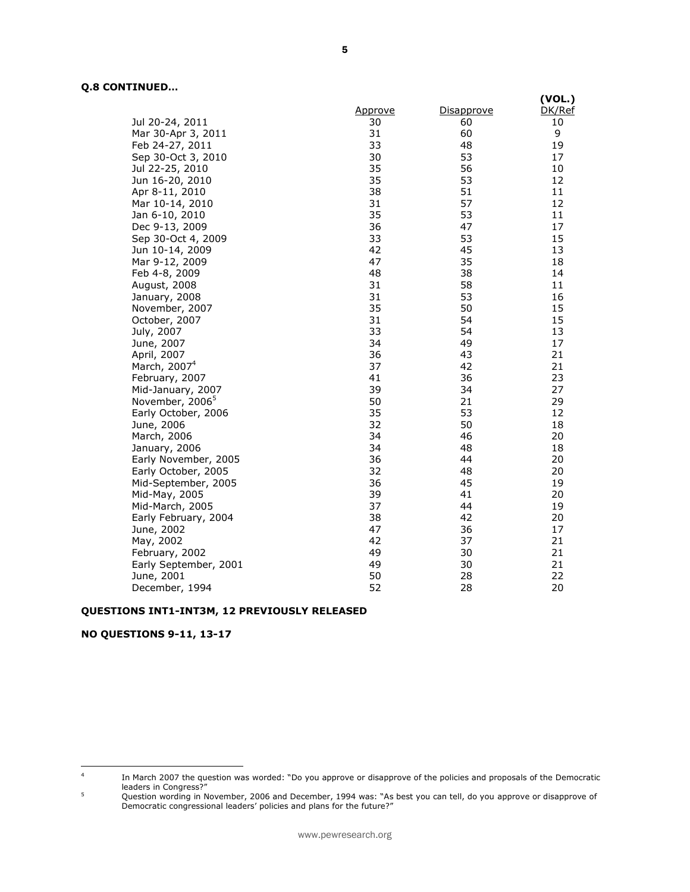## **Q.8 CONTINUED…**

|                             |         |                   | (VOL.) |
|-----------------------------|---------|-------------------|--------|
|                             | Approve | <u>Disapprove</u> | DK/Ref |
| Jul 20-24, 2011             | 30      | 60                | 10     |
| Mar 30-Apr 3, 2011          | 31      | 60                | 9      |
| Feb 24-27, 2011             | 33      | 48                | 19     |
| Sep 30-Oct 3, 2010          | 30      | 53                | 17     |
| Jul 22-25, 2010             | 35      | 56                | 10     |
| Jun 16-20, 2010             | 35      | 53                | 12     |
| Apr 8-11, 2010              | 38      | 51                | 11     |
| Mar 10-14, 2010             | 31      | 57                | 12     |
| Jan 6-10, 2010              | 35      | 53                | 11     |
| Dec 9-13, 2009              | 36      | 47                | 17     |
| Sep 30-Oct 4, 2009          | 33      | 53                | 15     |
| Jun 10-14, 2009             | 42      | 45                | 13     |
| Mar 9-12, 2009              | 47      | 35                | 18     |
| Feb 4-8, 2009               | 48      | 38                | 14     |
| August, 2008                | 31      | 58                | 11     |
| January, 2008               | 31      | 53                | 16     |
| November, 2007              | 35      | 50                | 15     |
| October, 2007               | 31      | 54                | 15     |
| July, 2007                  | 33      | 54                | 13     |
| June, 2007                  | 34      | 49                | 17     |
| April, 2007                 | 36      | 43                | 21     |
| March, 2007 <sup>4</sup>    | 37      | 42                | 21     |
| February, 2007              | 41      | 36                | 23     |
| Mid-January, 2007           | 39      | 34                | 27     |
| November, 2006 <sup>5</sup> | 50      | 21                | 29     |
| Early October, 2006         | 35      | 53                | 12     |
| June, 2006                  | 32      | 50                | 18     |
| March, 2006                 | 34      | 46                | 20     |
| January, 2006               | 34      | 48                | 18     |
| Early November, 2005        | 36      | 44                | 20     |
| Early October, 2005         | 32      | 48                | 20     |
| Mid-September, 2005         | 36      | 45                | 19     |
| Mid-May, 2005               | 39      | 41                | 20     |
| Mid-March, 2005             | 37      | 44                | 19     |
| Early February, 2004        | 38      | 42                | 20     |
| June, 2002                  | 47      | 36                | 17     |
| May, 2002                   | 42      | 37                | 21     |
| February, 2002              | 49      | 30                | 21     |
| Early September, 2001       | 49      | 30                | 21     |
| June, 2001                  | 50      | 28                | 22     |
| December, 1994              | 52      | 28                | 20     |

## **QUESTIONS INT1-INT3M, 12 PREVIOUSLY RELEASED**

## **NO QUESTIONS 9-11, 13-17**

 $\frac{1}{4}$ In March 2007 the question was worded: "Do you approve or disapprove of the policies and proposals of the Democratic leaders in Congress?"

<sup>&</sup>lt;sup>5</sup> Question wording in November, 2006 and December, 1994 was: "As best you can tell, do you approve or disapprove of Democratic congressional leaders' policies and plans for the future?"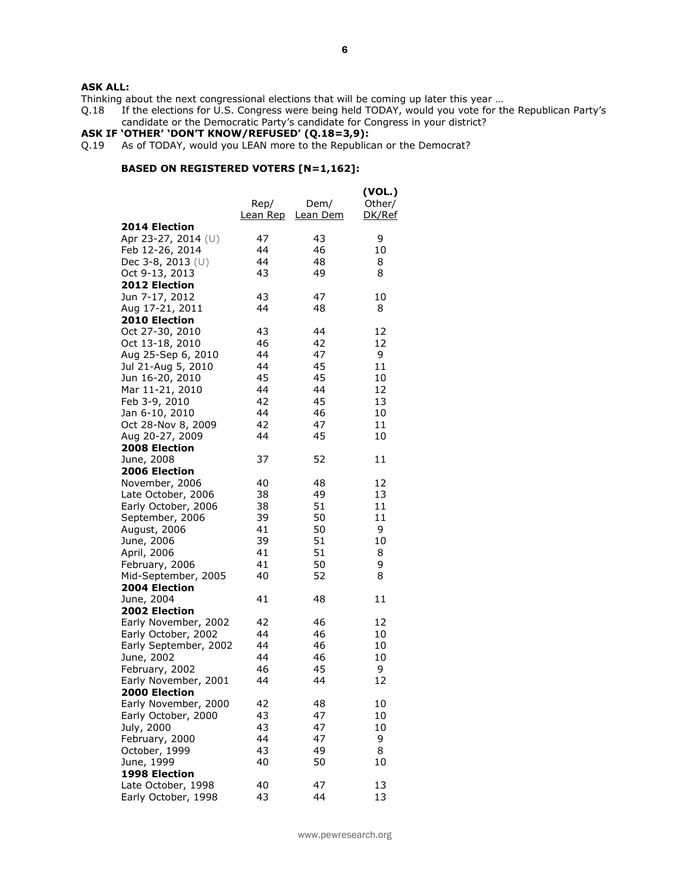## **ASK ALL:**

Thinking about the next congressional elections that will be coming up later this year ...<br>Q.18 If the elections for U.S. Congress were being held TODAY, would you vote for the If the elections for U.S. Congress were being held TODAY, would you vote for the Republican Party's candidate or the Democratic Party's candidate for Congress in your district?

#### **ASK IF 'OTHER' 'DON'T KNOW/REFUSED' (Q.18=3,9):**

Q.19 As of TODAY, would you LEAN more to the Republican or the Democrat?

## **BASED ON REGISTERED VOTERS [N=1,162]:**

|                       | Rep/<br>Lean Rep | Dem/<br>Lean Dem | (VOL.)<br>Other/<br>DK/Ref |
|-----------------------|------------------|------------------|----------------------------|
| 2014 Election         |                  |                  |                            |
| Apr 23-27, 2014 (U)   | 47               | 43               | 9                          |
| Feb 12-26, 2014       | 44               | 46               | 10                         |
| Dec 3-8, 2013 (U)     | 44               | 48               | 8                          |
| Oct 9-13, 2013        | 43               | 49               | 8                          |
| 2012 Election         |                  |                  |                            |
| Jun 7-17, 2012        | 43               | 47               | 10                         |
| Aug 17-21, 2011       | 44               | 48               | 8                          |
| <b>2010 Election</b>  |                  |                  |                            |
| Oct 27-30, 2010       | 43               | 44               | 12                         |
| Oct 13-18, 2010       | 46               | 42               | 12                         |
| Aug 25-Sep 6, 2010    | 44               | 47               | 9                          |
| Jul 21-Aug 5, 2010    | 44               | 45               | 11                         |
| Jun 16-20, 2010       | 45               | 45               | 10                         |
| Mar 11-21, 2010       | 44               | 44               | 12                         |
| Feb 3-9, 2010         | 42               | 45               | 13                         |
| Jan 6-10, 2010        | 44               | 46               | 10                         |
| Oct 28-Nov 8, 2009    | 42               | 47               | 11                         |
| Aug 20-27, 2009       | 44               | 45               | 10                         |
| <b>2008 Election</b>  |                  |                  |                            |
| June, 2008            | 37               | 52               | 11                         |
| 2006 Election         |                  |                  |                            |
| November, 2006        | 40               | 48               | 12                         |
| Late October, 2006    | 38               | 49               | 13                         |
| Early October, 2006   | 38               | 51               | 11                         |
| September, 2006       | 39               | 50               | 11                         |
| August, 2006          | 41               | 50               | 9                          |
| June, 2006            | 39               | 51               | 10                         |
| April, 2006           | 41               | 51               | 8                          |
| February, 2006        | 41               | 50               | 9                          |
| Mid-September, 2005   | 40               | 52               | 8                          |
| 2004 Election         |                  |                  |                            |
| June, 2004            | 41               | 48               | 11                         |
| <b>2002 Election</b>  |                  |                  |                            |
| Early November, 2002  | 42               | 46               | 12                         |
| Early October, 2002   | 44               | 46               | 10                         |
| Early September, 2002 | 44               | 46               | 10                         |
| June, 2002            | 44               | 46               | 10                         |
| February, 2002        | 46               | 45               | 9                          |
| Early November, 2001  | 44               | 44               | 12                         |
| 2000 Election         |                  |                  |                            |
| Early November, 2000  | 42               | 48               | 10                         |
| Early October, 2000   | 43               | 47               | 10                         |
| July, 2000            | 43               | 47               | 10                         |
| February, 2000        | 44               | 47               | 9                          |
| October, 1999         | 43               | 49               | 8                          |
| June, 1999            | 40               | 50               | 10                         |
| 1998 Election         |                  |                  |                            |
| Late October, 1998    | 40               | 47               | 13                         |
| Early October, 1998   | 43               | 44               | 13                         |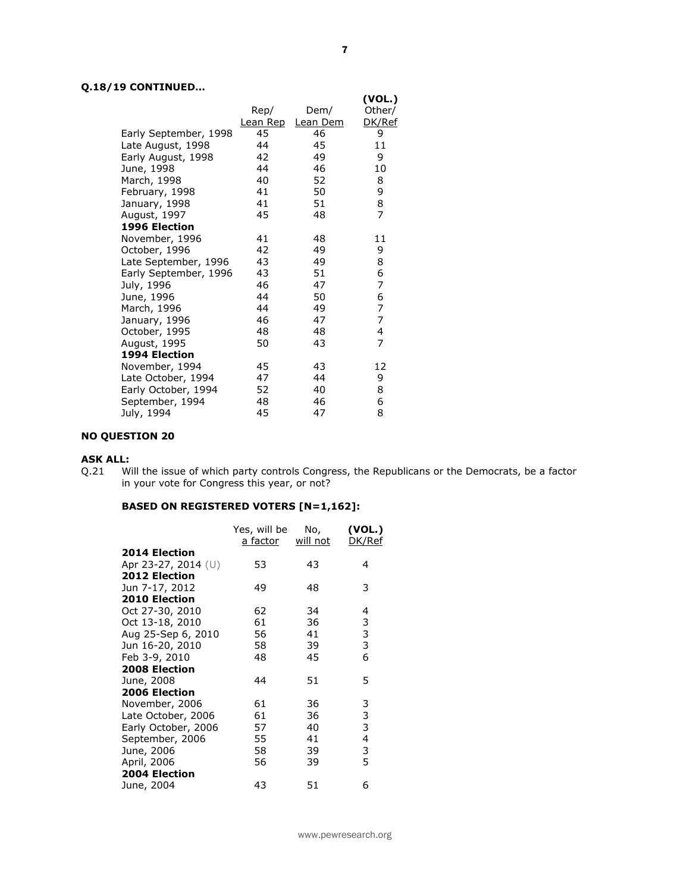## **Q.18/19 CONTINUED…**

|                       |          |          | (VOL.)         |
|-----------------------|----------|----------|----------------|
|                       | Rep/     | Dem/     | Other/         |
|                       | Lean Rep | Lean Dem | DK/Ref         |
| Early September, 1998 | 45       | 46       | 9              |
| Late August, 1998     | 44       | 45       | 11             |
| Early August, 1998    | 42       | 49       | 9              |
| June, 1998            | 44       | 46       | 10             |
| March, 1998           | 40       | 52       | 8              |
| February, 1998        | 41       | 50       | 9              |
| January, 1998         | 41       | 51       | 8              |
| August, 1997          | 45       | 48       | $\overline{7}$ |
| 1996 Election         |          |          |                |
| November, 1996        | 41       | 48       | 11             |
| October, 1996         | 42       | 49       | 9              |
| Late September, 1996  | 43       | 49       | 8              |
| Early September, 1996 | 43       | 51       | 6              |
| July, 1996            | 46       | 47       | 7              |
| June, 1996            | 44       | 50       | 6              |
| March, 1996           | 44       | 49       | 7              |
| January, 1996         | 46       | 47       | 7              |
| October, 1995         | 48       | 48       | 4              |
| August, 1995          | 50       | 43       | 7              |
| 1994 Election         |          |          |                |
| November, 1994        | 45       | 43       | 12             |
| Late October, 1994    | 47       | 44       | 9              |
| Early October, 1994   | 52       | 40       | 8              |
| September, 1994       | 48       | 46       | 6              |
| July, 1994            | 45       | 47       | 8              |

## **NO QUESTION 20**

## **ASK ALL:**

Q.21 Will the issue of which party controls Congress, the Republicans or the Democrats, be a factor in your vote for Congress this year, or not?

## **BASED ON REGISTERED VOTERS [N=1,162]:**

|                      | Yes, will be<br>a factor | No,<br>will not | (VOL.)<br>DK/Ref |
|----------------------|--------------------------|-----------------|------------------|
|                      |                          |                 |                  |
| <b>2014 Election</b> |                          |                 |                  |
| Apr 23-27, 2014 (U)  | 53                       | 43              | 4                |
| 2012 Election        |                          |                 |                  |
| Jun 7-17, 2012       | 49                       | 48              | 3                |
| 2010 Election        |                          |                 |                  |
| Oct 27-30, 2010      | 62                       | 34              | 4                |
| Oct 13-18, 2010      | 61                       | 36              | 3                |
| Aug 25-Sep 6, 2010   | 56                       | 41              | 3                |
| Jun 16-20, 2010      | 58                       | 39              | 3                |
| Feb 3-9, 2010        | 48                       | 45              | 6                |
| 2008 Election        |                          |                 |                  |
| June, 2008           | 44                       | 51              | 5                |
| 2006 Election        |                          |                 |                  |
| November, 2006       | 61                       | 36              | 3                |
| Late October, 2006   | 61                       | 36              | 3                |
| Early October, 2006  | 57                       | 40              | 3                |
| September, 2006      | 55                       | 41              | 4                |
| June, 2006           | 58                       | 39              | 3                |
| April, 2006          | 56                       | 39              | 5                |
| 2004 Election        |                          |                 |                  |
| June, 2004           | 43                       | 51              | 6                |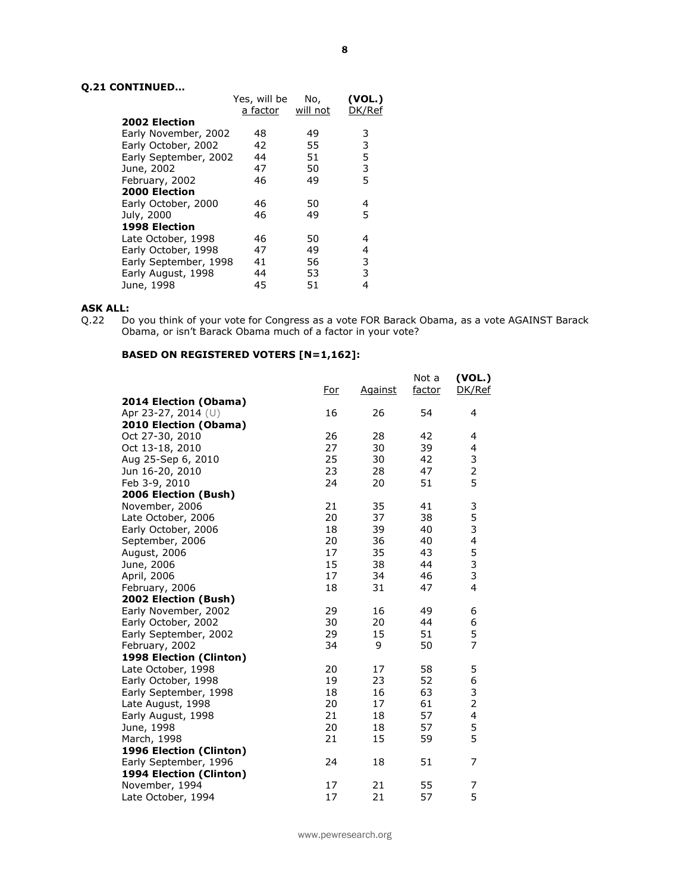## **Q.21 CONTINUED…**

|                       | Yes, will be | No,      | (VOL.) |
|-----------------------|--------------|----------|--------|
|                       | a factor     | will not | DK/Ref |
| <b>2002 Election</b>  |              |          |        |
| Early November, 2002  | 48           | 49       | 3      |
| Early October, 2002   | 42           | 55       | 3      |
| Early September, 2002 | 44           | 51       | 5      |
| June, 2002            | 47           | 50       | 3      |
| February, 2002        | 46           | 49       | 5      |
| 2000 Election         |              |          |        |
| Early October, 2000   | 46           | 50       | 4      |
| July, 2000            | 46           | 49       | 5      |
| 1998 Election         |              |          |        |
| Late October, 1998    | 46           | 50       | 4      |
| Early October, 1998   | 47           | 49       | 4      |
| Early September, 1998 | 41           | 56       | 3      |
| Early August, 1998    | 44           | 53       | 3      |
| June, 1998            | 45           | 51       | 4      |

#### **ASK ALL:**

Q.22 Do you think of your vote for Congress as a vote FOR Barack Obama, as a vote AGAINST Barack Obama, or isn't Barack Obama much of a factor in your vote?

## **BASED ON REGISTERED VOTERS [N=1,162]:**

|                         | <u>For</u> | <b>Against</b> | Not a<br>factor | (VOL.)<br>DK/Ref |
|-------------------------|------------|----------------|-----------------|------------------|
| 2014 Election (Obama)   |            |                |                 |                  |
| Apr 23-27, 2014 (U)     | 16         | 26             | 54              | 4                |
| 2010 Election (Obama)   |            |                |                 |                  |
| Oct 27-30, 2010         | 26         | 28             | 42              | 4                |
| Oct 13-18, 2010         | 27         | 30             | 39              | 4                |
| Aug 25-Sep 6, 2010      | 25         | 30             | 42              | 3                |
| Jun 16-20, 2010         | 23         | 28             | 47              | $\overline{2}$   |
| Feb 3-9, 2010           | 24         | 20             | 51              | 5                |
| 2006 Election (Bush)    |            |                |                 |                  |
| November, 2006          | 21         | 35             | 41              | 3                |
| Late October, 2006      | 20         | 37             | 38              | 5                |
| Early October, 2006     | 18         | 39             | 40              | 3                |
| September, 2006         | 20         | 36             | 40              | 4                |
| August, 2006            | 17         | 35             | 43              | $\frac{5}{3}$    |
| June, 2006              | 15         | 38             | 44              |                  |
| April, 2006             | 17         | 34             | 46              | 3                |
| February, 2006          | 18         | 31             | 47              | 4                |
| 2002 Election (Bush)    |            |                |                 |                  |
| Early November, 2002    | 29         | 16             | 49              | 6                |
| Early October, 2002     | 30         | 20             | 44              | 6                |
| Early September, 2002   | 29         | 15             | 51              | 5                |
| February, 2002          | 34         | 9              | 50              | $\overline{7}$   |
| 1998 Election (Clinton) |            |                |                 |                  |
| Late October, 1998      | 20         | 17             | 58              | 5                |
| Early October, 1998     | 19         | 23             | 52              | 6                |
| Early September, 1998   | 18         | 16             | 63              | 3                |
| Late August, 1998       | 20         | 17             | 61              | $\overline{2}$   |
| Early August, 1998      | 21         | 18             | 57              | 4                |
| June, 1998              | 20         | 18             | 57              | 5                |
| March, 1998             | 21         | 15             | 59              | 5                |
| 1996 Election (Clinton) |            |                |                 |                  |
| Early September, 1996   | 24         | 18             | 51              | 7                |
| 1994 Election (Clinton) |            |                |                 |                  |
| November, 1994          | 17         | 21             | 55              | 7                |
| Late October, 1994      | 17         | 21             | 57              | 5                |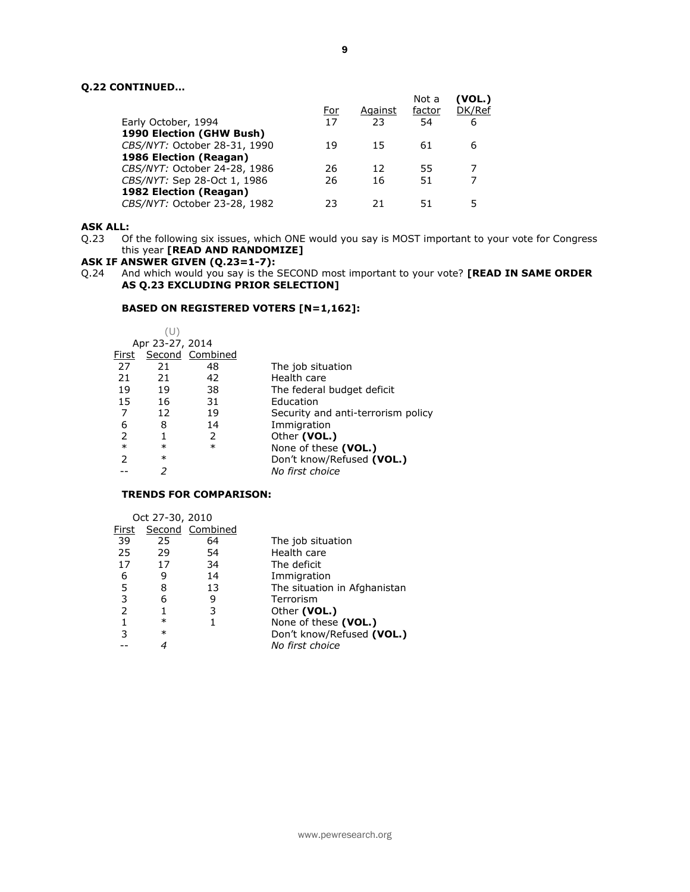## **Q.22 CONTINUED…**

| Early October, 1994          | For<br>17 | Against<br>23 | Not a<br>factor<br>54 | (VOL.)<br>DK/Ref<br>6 |
|------------------------------|-----------|---------------|-----------------------|-----------------------|
|                              |           |               |                       |                       |
| 1990 Election (GHW Bush)     |           |               |                       |                       |
| CBS/NYT: October 28-31, 1990 | 19        | 15            | 61                    | 6                     |
| 1986 Election (Reagan)       |           |               |                       |                       |
| CBS/NYT: October 24-28, 1986 | 26        | 12            | 55                    |                       |
| CBS/NYT: Sep 28-Oct 1, 1986  | 26        | 16            | 51                    |                       |
| 1982 Election (Reagan)       |           |               |                       |                       |
| CBS/NYT: October 23-28, 1982 | フ3        | 21            | 51                    |                       |
|                              |           |               |                       |                       |

#### **ASK ALL:**

Q.23 Of the following six issues, which ONE would you say is MOST important to your vote for Congress this year **[READ AND RANDOMIZE]** 

#### **ASK IF ANSWER GIVEN (Q.23=1-7):**

Q.24 And which would you say is the SECOND most important to your vote? **[READ IN SAME ORDER**  AS Q.23 EXCLUDING PRIOR SELECTION]

#### **BASED ON REGISTERED VOTERS [N=1,162]:**

|        | (U)             |                 |                                    |
|--------|-----------------|-----------------|------------------------------------|
|        | Apr 23-27, 2014 |                 |                                    |
| First  |                 | Second Combined |                                    |
| 27     | 21              | 48              | The job situation                  |
| 21     | 21              | 42              | Health care                        |
| 19     | 19              | 38              | The federal budget deficit         |
| 15     | 16              | 31              | Education                          |
| 7      | 12              | 19              | Security and anti-terrorism policy |
| 6      | 8               | 14              | Immigration                        |
| 2      |                 | 2               | Other (VOL.)                       |
| $\ast$ | $\ast$          | $\ast$          | None of these (VOL.)               |
| 2      | $\ast$          |                 | Don't know/Refused (VOL.)          |
|        |                 |                 | No first choice                    |

#### **TRENDS FOR COMPARISON:**

|       | Oct 27-30, 2010 |                 |                              |
|-------|-----------------|-----------------|------------------------------|
| First |                 | Second Combined |                              |
| 39    | 25              | 64              | The job situation            |
| 25    | 29              | 54              | Health care                  |
| 17    | 17              | 34              | The deficit                  |
| 6     | 9               | 14              | Immigration                  |
| 5     | 8               | 13              | The situation in Afghanistan |
| 3     | 6               | 9               | Terrorism                    |
| 2     | 1               | 3               | Other (VOL.)                 |
| 1     | $\ast$          |                 | None of these (VOL.)         |
| 3     | $\ast$          |                 | Don't know/Refused (VOL.)    |
|       |                 |                 | No first choice              |
|       |                 |                 |                              |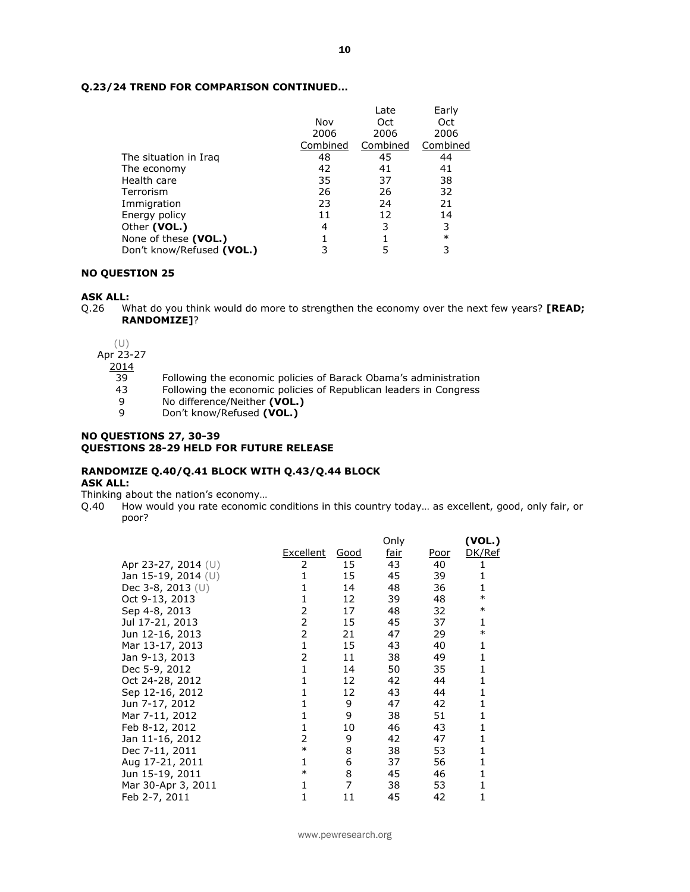## **Q.23/24 TREND FOR COMPARISON CONTINUED…**

|                           |          | Late     | Early    |
|---------------------------|----------|----------|----------|
|                           | Nov      | Oct      | Oct      |
|                           | 2006     | 2006     | 2006     |
|                           | Combined | Combined | Combined |
| The situation in Iraq     | 48       | 45       | 44       |
| The economy               | 42       | 41       | 41       |
| Health care               | 35       | 37       | 38       |
| Terrorism                 | 26       | 26       | 32       |
| Immigration               | 23       | 24       | 21       |
| Energy policy             | 11       | 12       | 14       |
| Other (VOL.)              | 4        | 3        | 3        |
| None of these (VOL.)      |          |          | $\ast$   |
| Don't know/Refused (VOL.) |          | 5        | 3        |

#### **NO QUESTION 25**

#### **ASK ALL:**

Q.26 What do you think would do more to strengthen the economy over the next few years? **[READ; RANDOMIZE]**?

(U)

Apr 23-27

 $\frac{2014}{39}$ 

- Following the economic policies of Barack Obama's administration
- 43 Following the economic policies of Republican leaders in Congress
- 9 No difference/Neither **(VOL.)**<br>9 Don't know/Refused **(VOL.)**
- 9 Don't know/Refused **(VOL.)**

#### **NO QUESTIONS 27, 30-39 QUESTIONS 28-29 HELD FOR FUTURE RELEASE**

#### **RANDOMIZE Q.40/Q.41 BLOCK WITH Q.43/Q.44 BLOCK ASK ALL:**

Thinking about the nation's economy…

Q.40 How would you rate economic conditions in this country today… as excellent, good, only fair, or poor?

| (VOL.) |  |
|--------|--|
| DK/Ref |  |
|        |  |
|        |  |
| 1      |  |
| $\ast$ |  |
| $\ast$ |  |
| 1      |  |
| $\ast$ |  |
| 1      |  |
| 1      |  |
| 1      |  |
| 1      |  |
| 1      |  |
| 1      |  |
| 1      |  |
| 1      |  |
| 1      |  |
| 1      |  |
| 1      |  |
| 1      |  |
| 1      |  |
| 1      |  |
|        |  |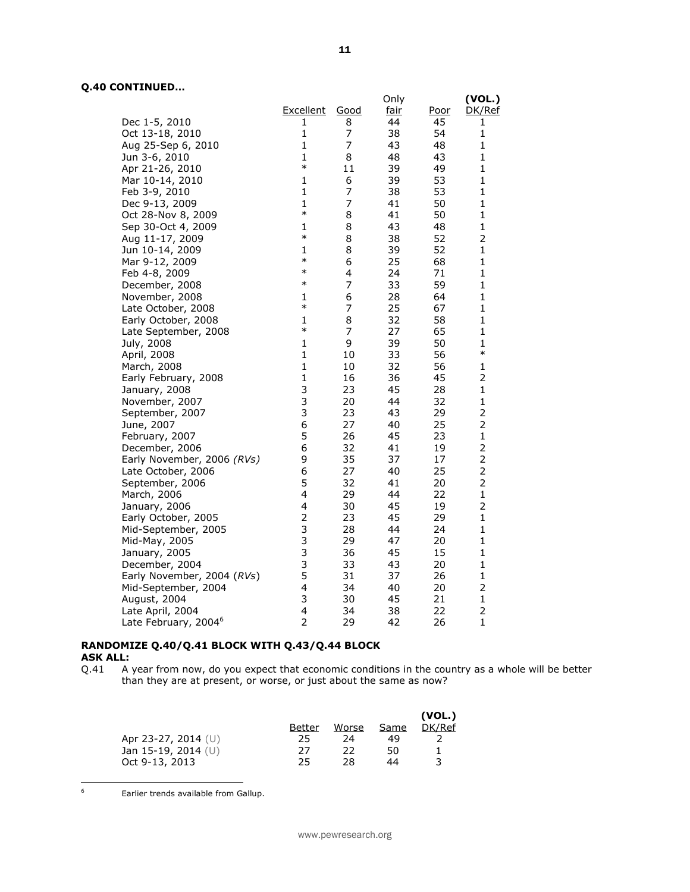# **Q.40 CONTINUED…**

|                                  |                        |                | Only     |      | (VOL.)         |
|----------------------------------|------------------------|----------------|----------|------|----------------|
|                                  | Excellent              | <u>Good</u>    | fair     | Poor | DK/Ref         |
| Dec 1-5, 2010                    | 1                      | 8              | 44       | 45   | 1              |
| Oct 13-18, 2010                  | $\mathbf{1}$           | $\overline{7}$ | 38       | 54   | 1              |
| Aug 25-Sep 6, 2010               | $\mathbf{1}$           | $\overline{7}$ | 43       | 48   | 1              |
|                                  | 1                      | 8              | 48       | 43   | 1              |
| Jun 3-6, 2010                    | $\ast$                 | 11             | 39       | 49   | $\mathbf{1}$   |
| Apr 21-26, 2010                  |                        |                |          |      | 1              |
| Mar 10-14, 2010                  | 1<br>1                 | 6<br>7         | 39<br>38 | 53   | 1              |
| Feb 3-9, 2010                    |                        |                |          | 53   |                |
| Dec 9-13, 2009                   | $\mathbf{1}$<br>$\ast$ | 7              | 41       | 50   | $\mathbf{1}$   |
| Oct 28-Nov 8, 2009               |                        | 8              | 41       | 50   | 1              |
| Sep 30-Oct 4, 2009               | $\mathbf{1}$<br>$\ast$ | 8              | 43       | 48   | $\mathbf{1}$   |
| Aug 11-17, 2009                  |                        | 8              | 38       | 52   | 2              |
| Jun 10-14, 2009                  | 1                      | 8              | 39       | 52   | $\mathbf{1}$   |
| Mar 9-12, 2009                   | $\ast$                 | 6              | 25       | 68   | $\mathbf{1}$   |
| Feb 4-8, 2009                    | $\ast$                 | 4              | 24       | 71   | 1              |
| December, 2008                   | $\ast$                 | 7              | 33       | 59   | 1              |
| November, 2008                   | 1                      | 6              | 28       | 64   | 1              |
| Late October, 2008               | $\ast$                 | 7              | 25       | 67   | $\mathbf{1}$   |
| Early October, 2008              | 1                      | 8              | 32       | 58   | $\mathbf{1}$   |
| Late September, 2008             | $\ast$                 | 7              | 27       | 65   | 1              |
| July, 2008                       | $\mathbf{1}$           | 9              | 39       | 50   | $\mathbf{1}$   |
| April, 2008                      | $\mathbf{1}$           | 10             | 33       | 56   | $\ast$         |
| March, 2008                      | $\mathbf{1}$           | 10             | 32       | 56   | 1              |
| Early February, 2008             | $\mathbf{1}$           | 16             | 36       | 45   | $\overline{2}$ |
| January, 2008                    | 3                      | 23             | 45       | 28   | $\mathbf{1}$   |
| November, 2007                   | 3                      | 20             | 44       | 32   | $\mathbf{1}$   |
| September, 2007                  | 3                      | 23             | 43       | 29   | $\overline{2}$ |
| June, 2007                       | 6                      | 27             | 40       | 25   | $\overline{2}$ |
| February, 2007                   | 5                      | 26             | 45       | 23   | $\mathbf{1}$   |
| December, 2006                   | 6                      | 32             | 41       | 19   | $\overline{2}$ |
| Early November, 2006 (RVs)       | 9                      | 35             | 37       | 17   | $\overline{2}$ |
| Late October, 2006               | 6                      | 27             | 40       | 25   | $\overline{2}$ |
| September, 2006                  | 5                      | 32             | 41       | 20   | $\overline{2}$ |
| March, 2006                      | $\overline{4}$         | 29             | 44       | 22   | $\mathbf{1}$   |
| January, 2006                    | 4                      | 30             | 45       | 19   | 2              |
| Early October, 2005              | $\overline{2}$         | 23             | 45       | 29   | 1              |
| Mid-September, 2005              | 3                      | 28             | 44       | 24   | $\mathbf{1}$   |
| Mid-May, 2005                    | 3                      | 29             | 47       | 20   | $\mathbf{1}$   |
| January, 2005                    | 3                      | 36             | 45       | 15   | $\mathbf{1}$   |
| December, 2004                   | 3                      | 33             | 43       | 20   | 1              |
| Early November, 2004 (RVs)       | 5                      | 31             | 37       | 26   | $\mathbf{1}$   |
| Mid-September, 2004              | 4                      | 34             | 40       | 20   | $\overline{2}$ |
| August, 2004                     | 3                      | 30             | 45       | 21   | 1              |
|                                  | 4                      | 34             | 38       | 22   | $\overline{2}$ |
| Late April, 2004                 | $\overline{2}$         | 29             | 42       |      | $\mathbf{1}$   |
| Late February, 2004 <sup>6</sup> |                        |                |          | 26   |                |

# **RANDOMIZE Q.40/Q.41 BLOCK WITH Q.43/Q.44 BLOCK ASK ALL:**<br>Q.41 A

A year from now, do you expect that economic conditions in the country as a whole will be better than they are at present, or worse, or just about the same as now?

|                       |        |       |      | (VOL.) |
|-----------------------|--------|-------|------|--------|
|                       | Better | Worse | Same | DK/Ref |
| Apr 23-27, 2014 $(U)$ | 25     | 24    | 49   |        |
| Jan 15-19, 2014 $(U)$ | 27     | 22    | 50   |        |
| Oct 9-13, 2013        | 25     | 28    | 44   |        |

 $\mathbf 6$ 

Earlier trends available from Gallup.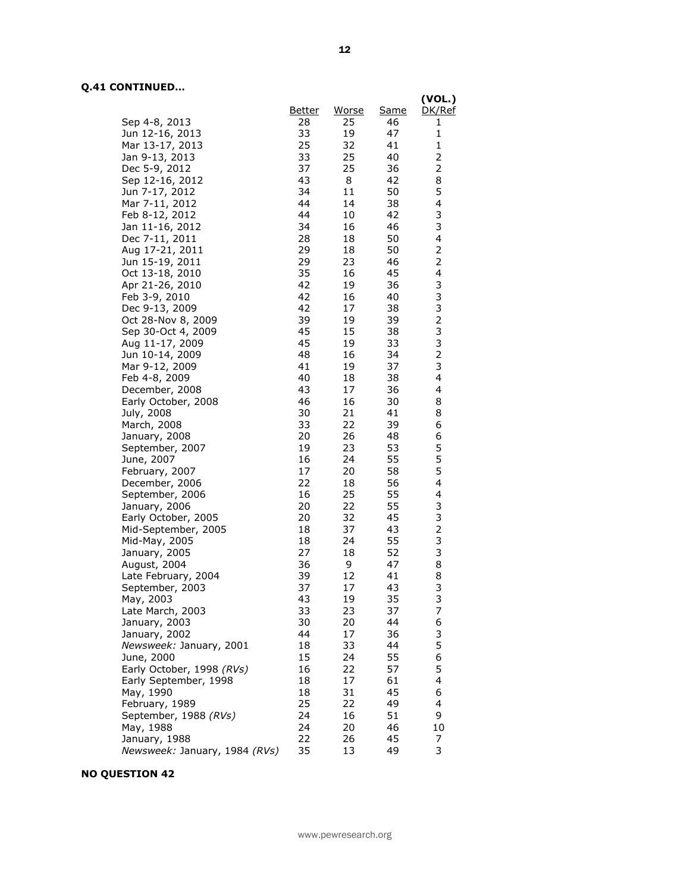## **Q.41 CONTINUED…**

|                                       |               |          |          | (VOL.)                  |
|---------------------------------------|---------------|----------|----------|-------------------------|
|                                       | <u>Better</u> | Worse    | Same     | DK/Ref                  |
| Sep 4-8, 2013                         | 28            | 25       | 46       | 1                       |
| Jun 12-16, 2013                       | 33            | 19       | 47       | $\mathbf{1}$            |
| Mar 13-17, 2013                       | 25            | 32       | 41       | $\mathbf{1}$            |
| Jan 9-13, 2013                        | 33            | 25       | 40       | $\overline{2}$          |
| Dec 5-9, 2012                         | 37            | 25       | 36       | 2                       |
| Sep 12-16, 2012                       | 43            | 8        | 42       | 8                       |
| Jun 7-17, 2012                        | 34            | 11       | 50       | 5                       |
| Mar 7-11, 2012                        | 44            | 14       | 38       | 4                       |
| Feb 8-12, 2012                        | 44            | 10       | 42       | 3                       |
| Jan 11-16, 2012                       | 34            | 16       | 46       | 3                       |
| Dec 7-11, 2011                        | 28            | 18       | 50       | $\overline{\mathbf{4}}$ |
| Aug 17-21, 2011                       | 29            | 18       | 50       | $\overline{\mathbf{c}}$ |
| Jun 15-19, 2011                       | 29            | 23       | 46       | $\overline{c}$          |
| Oct 13-18, 2010                       | 35            | 16       | 45       | 4                       |
| Apr 21-26, 2010                       | 42            | 19       | 36       | 3                       |
| Feb 3-9, 2010                         | 42            | 16       | 40       | 3                       |
| Dec 9-13, 2009                        | 42            | 17       | 38       | 3                       |
| Oct 28-Nov 8, 2009                    | 39<br>45      | 19<br>15 | 39<br>38 | $\frac{2}{3}$           |
| Sep 30-Oct 4, 2009<br>Aug 11-17, 2009 | 45            | 19       | 33       | 3                       |
| Jun 10-14, 2009                       | 48            | 16       | 34       | $\overline{c}$          |
| Mar 9-12, 2009                        | 41            | 19       | 37       | 3                       |
| Feb 4-8, 2009                         | 40            | 18       | 38       | 4                       |
| December, 2008                        | 43            | 17       | 36       | 4                       |
| Early October, 2008                   | 46            | 16       | 30       | 8                       |
| July, 2008                            | 30            | 21       | 41       | 8                       |
| March, 2008                           | 33            | 22       | 39       | 6                       |
| January, 2008                         | 20            | 26       | 48       | 6                       |
| September, 2007                       | 19            | 23       | 53       | 5                       |
| June, 2007                            | 16            | 24       | 55       | 5                       |
| February, 2007                        | 17            | 20       | 58       | 5                       |
| December, 2006                        | 22            | 18       | 56       | 4                       |
| September, 2006                       | 16            | 25       | 55       | 4                       |
| January, 2006                         | 20            | 22       | 55       | $\frac{3}{3}$           |
| Early October, 2005                   | 20            | 32       | 45       |                         |
| Mid-September, 2005                   | 18            | 37       | 43       | $\frac{2}{3}$           |
| Mid-May, 2005                         | 18            | 24       | 55       |                         |
| January, 2005                         | 27            | 18       | 52       | 3                       |
| August, 2004                          | 36            | 9        | 47       | 8                       |
| Late February, 2004                   | 39            | 12       | 41       | 8                       |
| September, 2003                       | 37            | 17       | 43       | 3                       |
| May, 2003                             | 43<br>33      | 19       | 35<br>37 | 3<br>7                  |
| Late March, 2003<br>January, 2003     | 30            | 23<br>20 | 44       | 6                       |
| January, 2002                         | 44            | 17       | 36       |                         |
| Newsweek: January, 2001               | 18            | 33       | 44       | $\frac{3}{5}$           |
| June, 2000                            | 15            | 24       | 55       | 6                       |
| Early October, 1998 (RVs)             | 16            | 22       | 57       | 5                       |
| Early September, 1998                 | 18            | 17       | 61       | 4                       |
| May, 1990                             | 18            | 31       | 45       | 6                       |
| February, 1989                        | 25            | 22       | 49       | 4                       |
| September, 1988 (RVs)                 | 24            | 16       | 51       | 9                       |
| May, 1988                             | 24            | 20       | 46       | 10                      |
| January, 1988                         | 22            | 26       | 45       | 7                       |
| Newsweek: January, 1984 (RVs)         | 35            | 13       | 49       | 3                       |

## **NO QUESTION 42**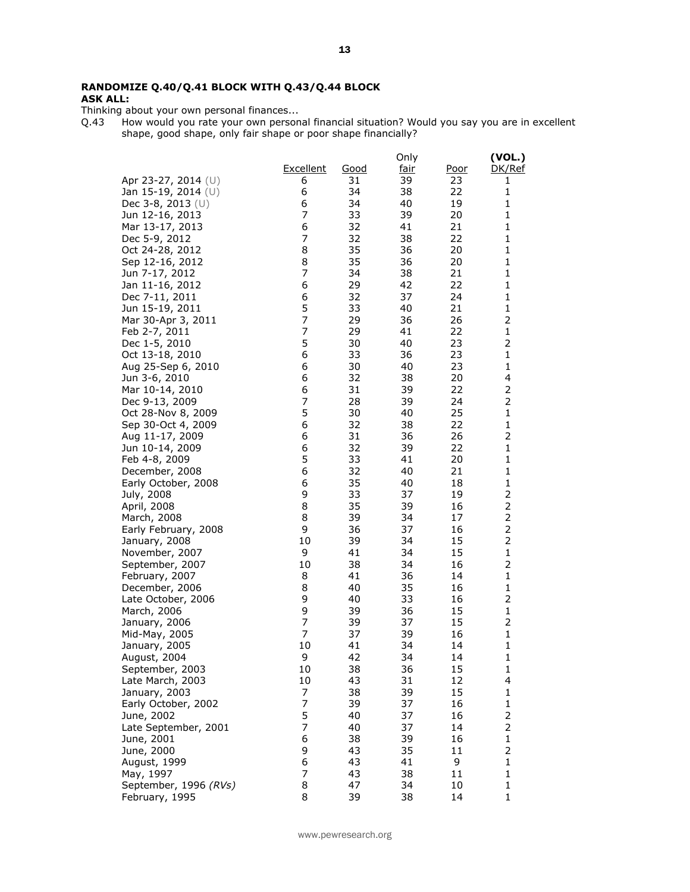## **RANDOMIZE Q.40/Q.41 BLOCK WITH Q.43/Q.44 BLOCK ASK ALL:**

Thinking about your own personal finances...

Q.43 How would you rate your own personal financial situation? Would you say you are in excellent shape, good shape, only fair shape or poor shape financially?

|                       |                |             | Only        |             | (VOL.)                  |
|-----------------------|----------------|-------------|-------------|-------------|-------------------------|
|                       | Excellent      | <u>Good</u> | <u>fair</u> | <u>Poor</u> | DK/Ref                  |
| Apr 23-27, 2014 (U)   | 6              | 31          | 39          | 23          | 1                       |
| Jan 15-19, 2014 (U)   | 6              | 34          | 38          | 22          | $\mathbf{1}$            |
| Dec 3-8, 2013 (U)     | 6              | 34          | 40          | 19          | $\mathbf{1}$            |
| Jun 12-16, 2013       | 7              | 33          | 39          | 20          | 1                       |
| Mar 13-17, 2013       | 6              | 32          | 41          | 21          | $\mathbf{1}$            |
| Dec 5-9, 2012         | $\overline{7}$ | 32          | 38          | 22          | $\mathbf{1}$            |
| Oct 24-28, 2012       | 8              | 35          | 36          | 20          | 1                       |
| Sep 12-16, 2012       | 8              | 35          | 36          | 20          | 1                       |
| Jun 7-17, 2012        | $\overline{7}$ | 34          | 38          | 21          | 1                       |
| Jan 11-16, 2012       | 6              | 29          | 42          | 22          | $\mathbf{1}$            |
| Dec 7-11, 2011        | 6              | 32          | 37          | 24          | 1                       |
| Jun 15-19, 2011       | 5              | 33          | 40          | 21          | $\mathbf{1}$            |
| Mar 30-Apr 3, 2011    | $\overline{7}$ | 29          | 36          | 26          | 2                       |
| Feb 2-7, 2011         | $\overline{7}$ | 29          | 41          | 22          | $\mathbf 1$             |
| Dec 1-5, 2010         | 5              | 30          | 40          | 23          | 2                       |
| Oct 13-18, 2010       | 6              | 33          | 36          | 23          | 1                       |
| Aug 25-Sep 6, 2010    | 6              | 30          | 40          | 23          | $\mathbf 1$             |
| Jun 3-6, 2010         | 6              | 32          | 38          | 20          | 4                       |
| Mar 10-14, 2010       | 6              | 31          | 39          | 22          | 2                       |
| Dec 9-13, 2009        | $\overline{7}$ | 28          | 39          | 24          | $\overline{2}$          |
| Oct 28-Nov 8, 2009    | 5              | 30          | 40          | 25          | $\mathbf{1}$            |
| Sep 30-Oct 4, 2009    | 6              | 32          | 38          | 22          | 1                       |
| Aug 11-17, 2009       | 6              | 31          | 36          | 26          | $\overline{2}$          |
| Jun 10-14, 2009       | 6              | 32          | 39          | 22          | $\mathbf{1}$            |
| Feb 4-8, 2009         | 5              | 33          | 41          | 20          | 1                       |
| December, 2008        | 6              | 32          | 40          | 21          | 1                       |
| Early October, 2008   | 6              | 35          | 40          | 18          | 1                       |
| July, 2008            | 9              | 33          | 37          | 19          | $\overline{2}$          |
| April, 2008           | 8              | 35          | 39          | 16          | $\overline{2}$          |
| March, 2008           | 8              | 39          | 34          | 17          | $\overline{\mathbf{c}}$ |
| Early February, 2008  | 9              | 36          | 37          | 16          | $\mathbf 2$             |
| January, 2008         | 10             | 39          | 34          | 15          | $\overline{2}$          |
| November, 2007        | 9              | 41          | 34          | 15          | $\mathbf{1}$            |
| September, 2007       | 10             | 38          | 34          | 16          | 2                       |
| February, 2007        | 8              | 41          | 36          | 14          | $\mathbf{1}$            |
| December, 2006        | 8              | 40          | 35          | 16          | 1                       |
| Late October, 2006    | 9              | 40          | 33          | 16          | $\overline{2}$          |
| March, 2006           | 9              | 39          | 36          | 15          | $\mathbf{1}$            |
| January, 2006         | 7              | 39          | 37          | 15          | $\overline{2}$          |
| Mid-May, 2005         | 7              | 37          | 39          | 16          | $\mathbf{1}$            |
| January, 2005         | 10             | 41          | 34          | 14          | 1                       |
| August, 2004          | 9              | 42          | 34          | 14          | $\mathbf{1}$            |
| September, 2003       | 10             | 38          | 36          | 15          | 1                       |
| Late March, 2003      | 10             | 43          | 31          | 12          | 4                       |
| January, 2003         | 7              | 38          | 39          | 15          | 1                       |
| Early October, 2002   | $\overline{7}$ | 39          | 37          | 16          | $\mathbf{1}$            |
| June, 2002            | 5              | 40          | 37          | 16          | $\mathbf 2$             |
| Late September, 2001  | $\overline{7}$ | 40          | 37          | 14          | $\overline{2}$          |
| June, 2001            | 6              | 38          | 39          | 16          | $\mathbf{1}$            |
| June, 2000            | 9              | 43          | 35          | 11          | $\mathbf 2$             |
| August, 1999          | 6              | 43          | 41          | 9           | $\mathbf{1}$            |
| May, 1997             | 7              | 43          | 38          | 11          | 1                       |
| September, 1996 (RVs) | 8              | 47          | 34          | 10          | $\mathbf 1$             |
| February, 1995        | 8              | 39          | 38          | 14          | 1                       |

www.pewresearch.org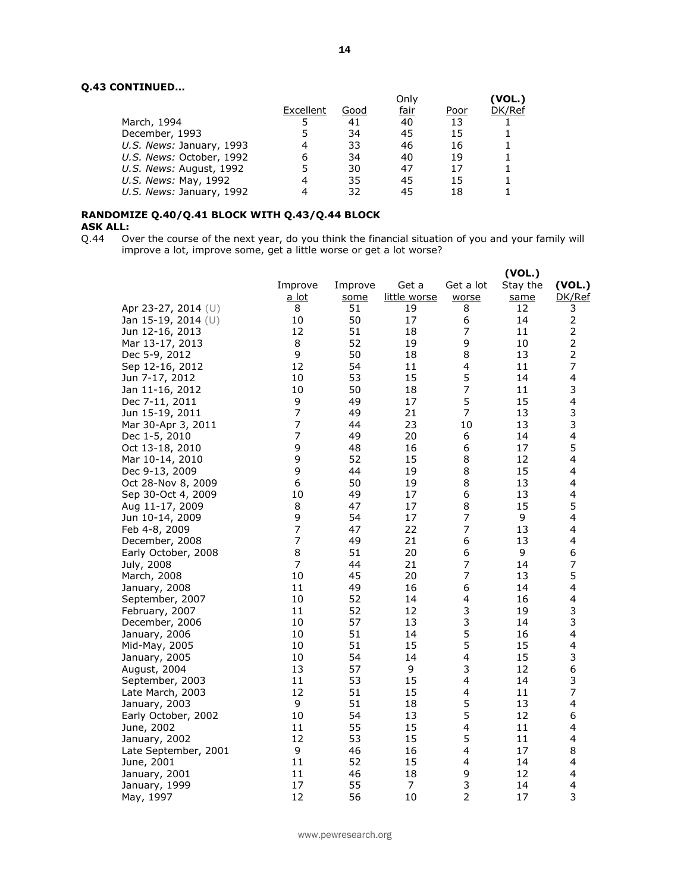## **Q.43 CONTINUED…**

|           |      |    |              | (VOL.) |
|-----------|------|----|--------------|--------|
| Excellent | Good |    | Poor         | DK/Ref |
|           | 41   | 40 | 13           |        |
|           | 34   | 45 | 15           |        |
| 4         | 33   | 46 | 16           |        |
| 6         | 34   | 40 | 19           |        |
|           | 30   | 47 | 17           |        |
|           | 35   | 45 | 15           |        |
|           | 32   | 45 | 18           |        |
|           |      |    | Only<br>fair |        |

## **RANDOMIZE Q.40/Q.41 BLOCK WITH Q.43/Q.44 BLOCK ASK ALL:**

Q.44 Over the course of the next year, do you think the financial situation of you and your family will improve a lot, improve some, get a little worse or get a lot worse?

|                       | Improve        | Improve | Get a        | Get a lot               | (VOL.)<br>Stay the | (VOL.)                  |
|-----------------------|----------------|---------|--------------|-------------------------|--------------------|-------------------------|
|                       | a lot          | some    | little worse | worse                   | same               | DK/Ref                  |
| Apr 23-27, 2014 (U)   | 8              | 51      | 19           | 8                       | 12                 | 3                       |
| Jan 15-19, 2014 $(U)$ | 10             | 50      | 17           | 6                       | 14                 | $\overline{2}$          |
| Jun 12-16, 2013       | 12             | 51      | 18           | $\overline{7}$          | 11                 | $\mathbf 2$             |
| Mar 13-17, 2013       | 8              | 52      | 19           | 9                       | 10                 | $\mathbf 2$             |
| Dec 5-9, 2012         | 9              | 50      | 18           | 8                       | 13                 | $\overline{\mathbf{c}}$ |
| Sep 12-16, 2012       | 12             | 54      | 11           | 4                       | 11                 | 7                       |
| Jun 7-17, 2012        | 10             | 53      | 15           | 5                       | 14                 | $\overline{\mathbf{4}}$ |
| Jan 11-16, 2012       | 10             | 50      | 18           | 7                       | 11                 | 3                       |
| Dec 7-11, 2011        | 9              | 49      | 17           | 5                       | 15                 | 4                       |
| Jun 15-19, 2011       | $\overline{7}$ | 49      | 21           | $\overline{7}$          | 13                 | 3                       |
| Mar 30-Apr 3, 2011    | 7              | 44      | 23           | 10                      | 13                 | 3                       |
| Dec 1-5, 2010         | $\overline{7}$ | 49      | 20           | 6                       | 14                 | $\overline{\mathbf{4}}$ |
| Oct 13-18, 2010       | 9              | 48      | 16           | 6                       | 17                 | 5                       |
| Mar 10-14, 2010       | 9              | 52      | 15           | 8                       | 12                 | $\overline{\mathbf{4}}$ |
| Dec 9-13, 2009        | 9              | 44      | 19           | 8                       | 15                 | 4                       |
| Oct 28-Nov 8, 2009    | 6              | 50      | 19           | 8                       | 13                 | 4                       |
| Sep 30-Oct 4, 2009    | 10             | 49      | 17           | 6                       | 13                 | 4                       |
| Aug 11-17, 2009       | 8              | 47      | 17           | 8                       | 15                 | 5                       |
| Jun 10-14, 2009       | 9              | 54      | 17           | $\overline{7}$          | 9                  | 4                       |
| Feb 4-8, 2009         | $\overline{7}$ | 47      | 22           | 7                       | 13                 | 4                       |
| December, 2008        | $\overline{7}$ | 49      | 21           | 6                       | 13                 | $\overline{\mathbf{4}}$ |
| Early October, 2008   | 8              | 51      | 20           | 6                       | 9                  | 6                       |
| July, 2008            | $\overline{7}$ | 44      | 21           | $\overline{7}$          | 14                 | 7                       |
| March, 2008           | 10             | 45      | 20           | $\overline{7}$          | 13                 | 5                       |
| January, 2008         | 11             | 49      | 16           | 6                       | 14                 | 4                       |
| September, 2007       | 10             | 52      | 14           | 4                       | 16                 | $\overline{\mathbf{4}}$ |
| February, 2007        | 11             | 52      | 12           | 3                       | 19                 | 3                       |
| December, 2006        | 10             | 57      | 13           | 3                       | 14                 | 3                       |
| January, 2006         | 10             | 51      | 14           | 5                       | 16                 | 4                       |
| Mid-May, 2005         | 10             | 51      | 15           | 5                       | 15                 | $\overline{\mathbf{4}}$ |
| January, 2005         | 10             | 54      | 14           | $\overline{\mathbf{4}}$ | 15                 | 3                       |
| August, 2004          | 13             | 57      | 9            | 3                       | 12                 | 6                       |
| September, 2003       | 11             | 53      | 15           | $\overline{\mathbf{4}}$ | 14                 | 3                       |
| Late March, 2003      | 12             | 51      | 15           | 4                       | 11                 | 7                       |
| January, 2003         | 9              | 51      | 18           | 5                       | 13                 | 4                       |
| Early October, 2002   | 10             | 54      | 13           | 5                       | 12                 | 6                       |
| June, 2002            | 11             | 55      | 15           | $\overline{\mathbf{4}}$ | 11                 | 4                       |
| January, 2002         | 12             | 53      | 15           | 5                       | 11                 | 4                       |
| Late September, 2001  | 9              | 46      | 16           | 4                       | 17                 | 8                       |
| June, 2001            | 11             | 52      | 15           | 4                       | 14                 | 4                       |
| January, 2001         | 11             | 46      | 18           | 9                       | 12                 | $\overline{\mathbf{4}}$ |
| January, 1999         | 17             | 55      | 7            | 3                       | 14                 | 4                       |
| May, 1997             | 12             | 56      | 10           | $\overline{2}$          | 17                 | 3                       |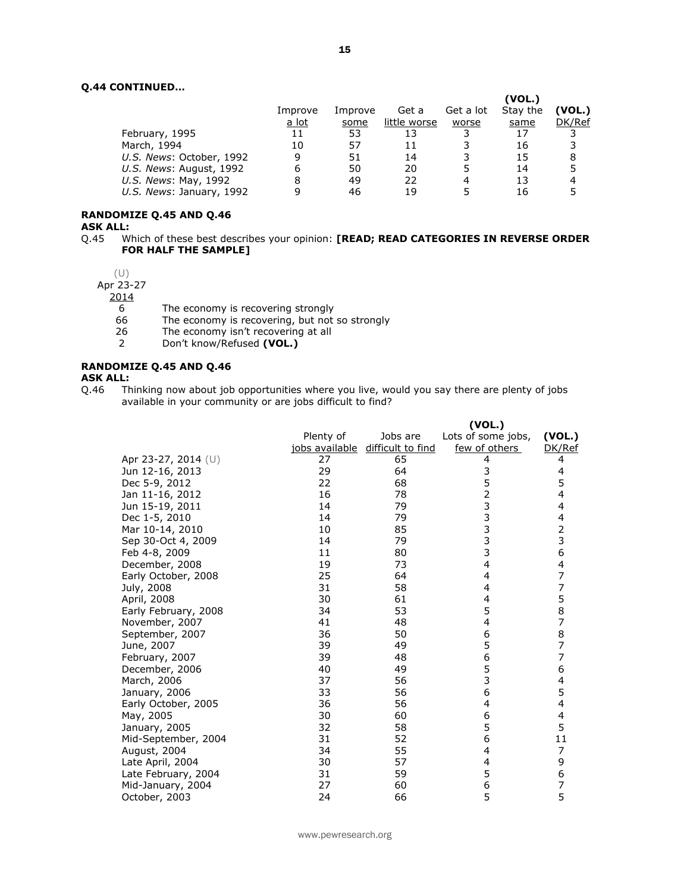## **Q.44 CONTINUED…**

|                          |              |         |              |           | (VOL.)   |        |
|--------------------------|--------------|---------|--------------|-----------|----------|--------|
|                          | Improve      | Improve | Get a        | Get a lot | Stay the | (VOL.) |
|                          | <u>a lot</u> | some    | little worse | worse     | same     | DK/Ref |
| February, 1995           | 11           | 53      | 13           |           | 17       |        |
| March, 1994              | 10           | 57      | 11           |           | 16       |        |
| U.S. News: October, 1992 | 9            | 51      | 14           |           | 15       | 8      |
| U.S. News: August, 1992  | 6            | 50      | 20           |           | 14       | 5      |
| U.S. News: May, 1992     | 8            | 49      | 22           | 4         | 13       | 4      |
| U.S. News: January, 1992 | q            | 46      | 19           |           | 16       | 5      |
|                          |              |         |              |           |          |        |

## **RANDOMIZE Q.45 AND Q.46**

**ASK ALL:**

Q.45 Which of these best describes your opinion: **[READ; READ CATEGORIES IN REVERSE ORDER FOR HALF THE SAMPLE]**

## (U)

Apr 23-27

2014

- 6 The economy is recovering strongly<br>66 The economy is recovering, but not
- 66 The economy is recovering, but not so strongly 26 The economy isn't recovering at all
- The economy isn't recovering at all
- 2 Don't know/Refused **(VOL.)**

#### **RANDOMIZE Q.45 AND Q.46**

**ASK ALL:**

Q.46 Thinking now about job opportunities where you live, would you say there are plenty of jobs available in your community or are jobs difficult to find?

|                      |           |                                  | (VOL.)             |                                       |
|----------------------|-----------|----------------------------------|--------------------|---------------------------------------|
|                      | Plenty of | Jobs are                         | Lots of some jobs, | (VOL.)                                |
|                      |           | jobs available difficult to find | few of others      | DK/Ref                                |
| Apr 23-27, 2014 (U)  | 27        | 65                               | 4                  | 4                                     |
| Jun 12-16, 2013      | 29        | 64                               | 3                  | 4                                     |
| Dec 5-9, 2012        | 22        | 68                               | 5                  | 5                                     |
| Jan 11-16, 2012      | 16        | 78                               | 2                  | 4                                     |
| Jun 15-19, 2011      | 14        | 79                               | 3                  | 4                                     |
| Dec 1-5, 2010        | 14        | 79                               | 3                  | 4                                     |
| Mar 10-14, 2010      | 10        | 85                               | 3                  | $\frac{2}{3}$                         |
| Sep 30-Oct 4, 2009   | 14        | 79                               | 3                  |                                       |
| Feb 4-8, 2009        | 11        | 80                               | 3                  | 6                                     |
| December, 2008       | 19        | 73                               | 4                  | 4                                     |
| Early October, 2008  | 25        | 64                               | 4                  | $\overline{7}$                        |
| July, 2008           | 31        | 58                               | 4                  | 7                                     |
| April, 2008          | 30        | 61                               | 4                  | 5                                     |
| Early February, 2008 | 34        | 53                               | 5                  | $\begin{array}{c} 8 \\ 7 \end{array}$ |
| November, 2007       | 41        | 48                               | 4                  |                                       |
| September, 2007      | 36        | 50                               | 6                  | 8                                     |
| June, 2007           | 39        | 49                               | 5                  | 7                                     |
| February, 2007       | 39        | 48                               | 6                  | $\overline{7}$                        |
| December, 2006       | 40        | 49                               | 5                  | 6                                     |
| March, 2006          | 37        | 56                               | 3                  | 4                                     |
| January, 2006        | 33        | 56                               | 6                  | 5                                     |
| Early October, 2005  | 36        | 56                               | 4                  | 4                                     |
| May, 2005            | 30        | 60                               | 6                  | 4                                     |
| January, 2005        | 32        | 58                               | 5                  | 5                                     |
| Mid-September, 2004  | 31        | 52                               | 6                  | 11                                    |
| August, 2004         | 34        | 55                               | 4                  | 7                                     |
| Late April, 2004     | 30        | 57                               | 4                  | 9                                     |
| Late February, 2004  | 31        | 59                               | 5                  | 6                                     |
| Mid-January, 2004    | 27        | 60                               | 6                  | 7                                     |
| October, 2003        | 24        | 66                               | 5                  | 5                                     |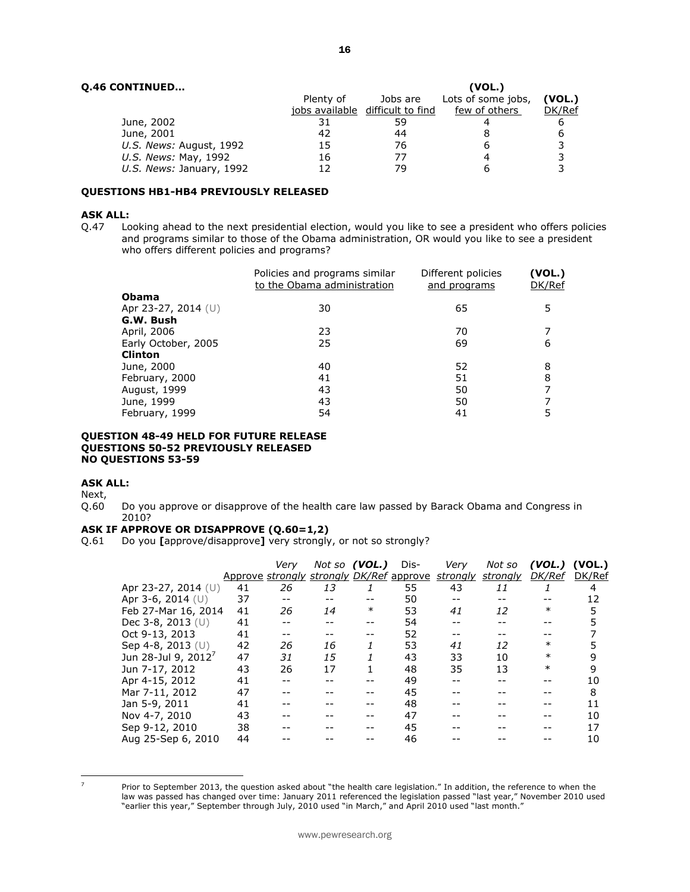|           |          | (VOL.)                           |        |
|-----------|----------|----------------------------------|--------|
| Plenty of | Jobs are | Lots of some jobs,               | (VOL.) |
|           |          | few of others                    | DK/Ref |
| 31        | 59       |                                  | 6      |
| 42        | 44       |                                  | 6      |
| 15        | 76       |                                  |        |
| 16        | 77       |                                  |        |
| 12        | 79       |                                  |        |
|           |          | jobs available difficult to find |        |

#### **QUESTIONS HB1-HB4 PREVIOUSLY RELEASED**

# **ASK ALL:**<br>Q.47 Lo

Looking ahead to the next presidential election, would you like to see a president who offers policies and programs similar to those of the Obama administration, OR would you like to see a president who offers different policies and programs?

| and programs | (VOL.)<br>DK/Ref   |
|--------------|--------------------|
|              |                    |
| 65           | 5                  |
|              |                    |
| 70           |                    |
| 69           | 6                  |
|              |                    |
| 52           | 8                  |
| 51           | 8                  |
| 50           |                    |
| 50           |                    |
| 41           | 5                  |
|              | Different policies |

#### **QUESTION 48-49 HELD FOR FUTURE RELEASE QUESTIONS 50-52 PREVIOUSLY RELEASED NO QUESTIONS 53-59**

#### **ASK ALL:**

Next,

Q.60 Do you approve or disapprove of the health care law passed by Barack Obama and Congress in 2010?

#### **ASK IF APPROVE OR DISAPPROVE (Q.60=1,2)**

Q.61 Do you **[**approve/disapprove**]** very strongly, or not so strongly?

|                                 |    | Very | Not so (VOL.) |        | Dis-                                     | Very     | Not so   | (VOL.)        | (VOL.) |
|---------------------------------|----|------|---------------|--------|------------------------------------------|----------|----------|---------------|--------|
|                                 |    |      |               |        | Approve strongly strongly DK/Ref approve | strongly | strongly | <b>DK/Ref</b> | DK/Ref |
| Apr 23-27, 2014 (U)             | 41 | 26   | 13            | 1      | 55                                       | 43       | 11       |               | 4      |
| Apr 3-6, 2014 $(U)$             | 37 |      |               |        | 50                                       |          |          |               | 12     |
| Feb 27-Mar 16, 2014             | 41 | 26   | 14            | $\ast$ | 53                                       | 41       | 12       | ∗             | 5      |
| Dec 3-8, 2013 $(U)$             | 41 |      | --            | --     | 54                                       |          |          |               | 5      |
| Oct 9-13, 2013                  | 41 |      | --            |        | 52                                       |          |          |               |        |
| Sep 4-8, 2013 (U)               | 42 | 26   | 16            | 1      | 53                                       | 41       | 12       | ∗             |        |
| Jun 28-Jul 9, 2012 <sup>/</sup> | 47 | 31   | 15            |        | 43                                       | 33       | 10       | $\ast$        | 9      |
| Jun 7-17, 2012                  | 43 | 26   | 17            | 1      | 48                                       | 35       | 13       | $\ast$        | 9      |
| Apr 4-15, 2012                  | 41 |      |               |        | 49                                       |          |          |               | 10     |
| Mar 7-11, 2012                  | 47 |      |               |        | 45                                       |          |          |               | 8      |
| Jan 5-9, 2011                   | 41 |      |               |        | 48                                       |          |          |               | 11     |
| Nov 4-7, 2010                   | 43 |      |               |        | 47                                       |          |          |               | 10     |
| Sep 9-12, 2010                  | 38 |      |               |        | 45                                       |          |          |               | 17     |
| Aug 25-Sep 6, 2010              | 44 |      |               |        | 46                                       |          |          |               | 10     |
|                                 |    |      |               |        |                                          |          |          |               |        |

 $\overline{z}$ 

Prior to September 2013, the question asked about "the health care legislation." In addition, the reference to when the law was passed has changed over time: January 2011 referenced the legislation passed "last year," November 2010 used "earlier this year," September through July, 2010 used "in March," and April 2010 used "last month."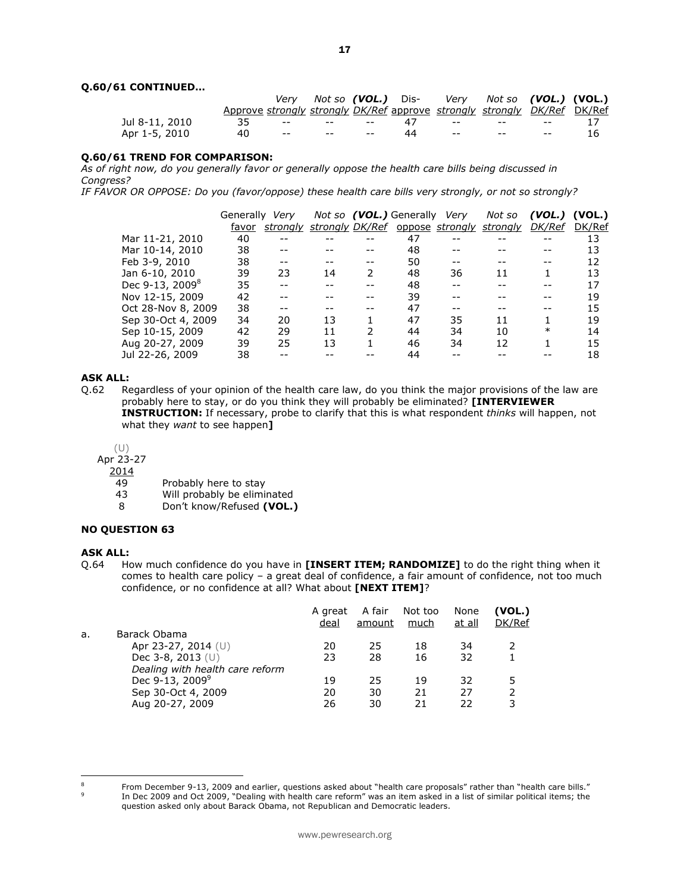#### **Q.60/61 CONTINUED…**

|                |    |                                                     |    | Very Not so (VOL.) Dis- Very Not so (VOL.) (VOL.)                        |                             |    |
|----------------|----|-----------------------------------------------------|----|--------------------------------------------------------------------------|-----------------------------|----|
|                |    |                                                     |    | Approve strongly strongly DK/Ref approve strongly strongly DK/Ref DK/Ref |                             |    |
| Jul 8-11, 2010 |    |                                                     |    | 35 -- -- -- 47 -- -- -- --                                               |                             |    |
| Apr 1-5, 2010  | 40 | the contract of the contract of the contract of the | 44 | the season of the season of the season of the                            | <b>Service</b> Construction | 16 |

#### **Q.60/61 TREND FOR COMPARISON:**

*As of right now, do you generally favor or generally oppose the health care bills being discussed in Congress?* 

*IF FAVOR OR OPPOSE: Do you (favor/oppose) these health care bills very strongly, or not so strongly?*

|                             | Generally | Verv     |                 |    | Not so (VOL.) Generally Very |    | Not so                   | (VOL.)        | (VOL.) |
|-----------------------------|-----------|----------|-----------------|----|------------------------------|----|--------------------------|---------------|--------|
|                             | favor     | strongly | strongly DK/Ref |    |                              |    | oppose strongly strongly | <i>DK/Ref</i> | DK/Ref |
| Mar 11-21, 2010             | 40        |          |                 |    | 47                           |    |                          |               | 13     |
| Mar 10-14, 2010             | 38        |          |                 |    | 48                           |    |                          |               | 13     |
| Feb 3-9, 2010               | 38        |          |                 | -- | 50                           |    |                          |               | 12     |
| Jan 6-10, 2010              | 39        | 23       | 14              | 2  | 48                           | 36 | 11                       |               | 13     |
| Dec 9-13, 2009 <sup>8</sup> | 35        |          |                 |    | 48                           |    |                          |               | 17     |
| Nov 12-15, 2009             | 42        |          |                 |    | 39                           |    |                          |               | 19     |
| Oct 28-Nov 8, 2009          | 38        |          |                 |    | 47                           |    |                          |               | 15     |
| Sep 30-Oct 4, 2009          | 34        | 20       | 13              |    | 47                           | 35 | 11                       |               | 19     |
| Sep 10-15, 2009             | 42        | 29       | 11              | 2  | 44                           | 34 | 10                       | $\ast$        | 14     |
| Aug 20-27, 2009             | 39        | 25       | 13              |    | 46                           | 34 | 12                       |               | 15     |
| Jul 22-26, 2009             | 38        |          |                 |    | 44                           |    |                          |               | 18     |

#### **ASK ALL:**

Q.62 Regardless of your opinion of the health care law, do you think the major provisions of the law are probably here to stay, or do you think they will probably be eliminated? **[INTERVIEWER INSTRUCTION:** If necessary, probe to clarify that this is what respondent *thinks* will happen, not what they *want* to see happen**]**

(U)

Apr 23-27

- $\frac{2014}{49}$
- Probably here to stay
- 43 Will probably be eliminated
- 8 Don't know/Refused **(VOL.)**

#### **NO QUESTION 63**

#### **ASK ALL:**

Q.64 How much confidence do you have in **[INSERT ITEM; RANDOMIZE]** to do the right thing when it comes to health care policy – a great deal of confidence, a fair amount of confidence, not too much confidence, or no confidence at all? What about **[NEXT ITEM]**?

|    |                                 | A great<br>deal | A fair<br>amount | Not too<br>much | None<br>at all | (VOL.)<br>DK/Ref |
|----|---------------------------------|-----------------|------------------|-----------------|----------------|------------------|
| а. | Barack Obama                    |                 |                  |                 |                |                  |
|    | Apr 23-27, 2014 (U)             | 20              | 25               | 18              | 34             |                  |
|    | Dec 3-8, 2013 $(U)$             | 23              | 28               | 16              | 32             |                  |
|    | Dealing with health care reform |                 |                  |                 |                |                  |
|    | Dec 9-13, 2009 <sup>9</sup>     | 19              | 25               | 19              | 32             | 5                |
|    | Sep 30-Oct 4, 2009              | 20              | 30               | 21              | 27             | っ                |
|    | Aug 20-27, 2009                 | 26              | 30               | 21              | 22             | 3                |
|    |                                 |                 |                  |                 |                |                  |

 $\overline{8}$ 9

From December 9-13, 2009 and earlier, questions asked about "health care proposals" rather than "health care bills." In Dec 2009 and Oct 2009, "Dealing with health care reform" was an item asked in a list of similar political items; the question asked only about Barack Obama, not Republican and Democratic leaders.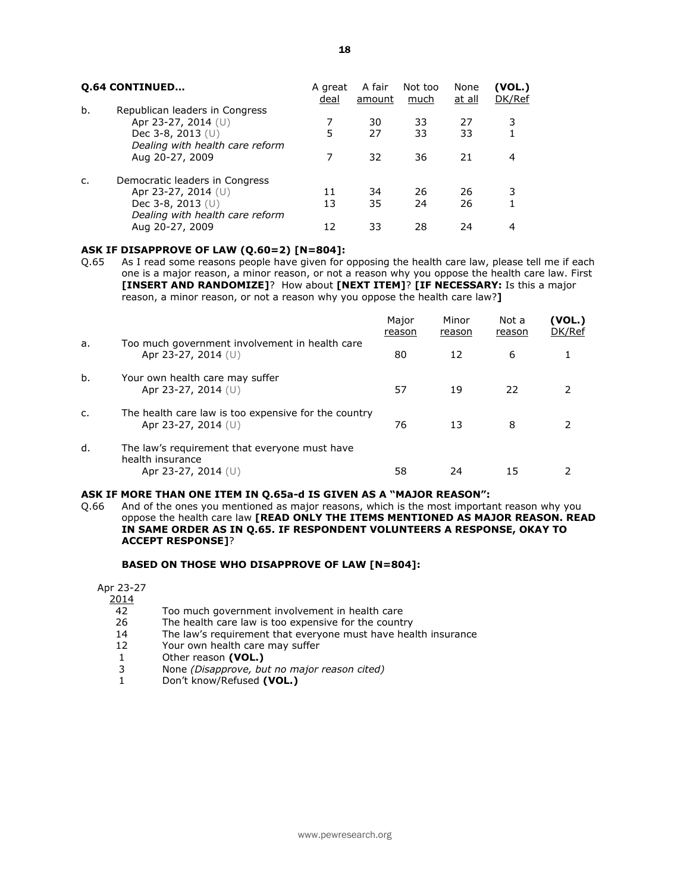18

|    | <b>0.64 CONTINUED</b>                                                                                                                 | A great<br>deal | A fair<br>amount | Not too<br><u>much</u> | None<br><u>at all</u> | (VOL.)<br>DK/Ref |
|----|---------------------------------------------------------------------------------------------------------------------------------------|-----------------|------------------|------------------------|-----------------------|------------------|
| b. | Republican leaders in Congress<br>Apr 23-27, 2014 (U)<br>Dec 3-8, 2013 $(U)$<br>Dealing with health care reform<br>Aug 20-27, 2009    | 5<br>7          | 30<br>27<br>32   | 33<br>33<br>36         | 27<br>33<br>21        | 3<br>4           |
|    | Democratic leaders in Congress<br>Apr 23-27, 2014 (U)<br>Dec $3-8$ , $2013$ (U)<br>Dealing with health care reform<br>Aug 20-27, 2009 | 11<br>13<br>12  | 34<br>35<br>33   | 26<br>24<br>28         | 26<br>26<br>24        | 3<br>4           |

## **ASK IF DISAPPROVE OF LAW (Q.60=2) [N=804]:**

Q.65 As I read some reasons people have given for opposing the health care law, please tell me if each one is a major reason, a minor reason, or not a reason why you oppose the health care law. First **[INSERT AND RANDOMIZE]**? How about **[NEXT ITEM]**? **[IF NECESSARY:** Is this a major reason, a minor reason, or not a reason why you oppose the health care law?**]**

|    |                                                                                          | Major<br>reason | Minor<br>reason | Not a<br>reason | (VOL.)<br>DK/Ref |
|----|------------------------------------------------------------------------------------------|-----------------|-----------------|-----------------|------------------|
| a. | Too much government involvement in health care<br>Apr 23-27, 2014 $(U)$                  | 80              | 12              | 6               |                  |
| b. | Your own health care may suffer<br>Apr 23-27, 2014 (U)                                   | 57              | 19              | 22              |                  |
| c. | The health care law is too expensive for the country<br>Apr 23-27, 2014 $(U)$            | 76              | 13              | 8               |                  |
| d. | The law's requirement that everyone must have<br>health insurance<br>Apr 23-27, 2014 (U) | 58              | 24              | 15              |                  |

## **ASK IF MORE THAN ONE ITEM IN Q.65a-d IS GIVEN AS A "MAJOR REASON":**

Q.66 And of the ones you mentioned as major reasons, which is the most important reason why you oppose the health care law **[READ ONLY THE ITEMS MENTIONED AS MAJOR REASON. READ IN SAME ORDER AS IN Q.65. IF RESPONDENT VOLUNTEERS A RESPONSE, OKAY TO ACCEPT RESPONSE]**?

## **BASED ON THOSE WHO DISAPPROVE OF LAW [N=804]:**

Apr 23-27

 $\frac{2014}{42}$ 

- 42 Too much government involvement in health care<br>26 The health care law is too expensive for the countr
- The health care law is too expensive for the country
- 14 The law's requirement that everyone must have health insurance
- 12 Your own health care may suffer
- 1 Other reason **(VOL.)**<br>3 None *(Disapprove, bu*
- 3 None *(Disapprove, but no major reason cited)*
- 1 Don't know/Refused **(VOL.)**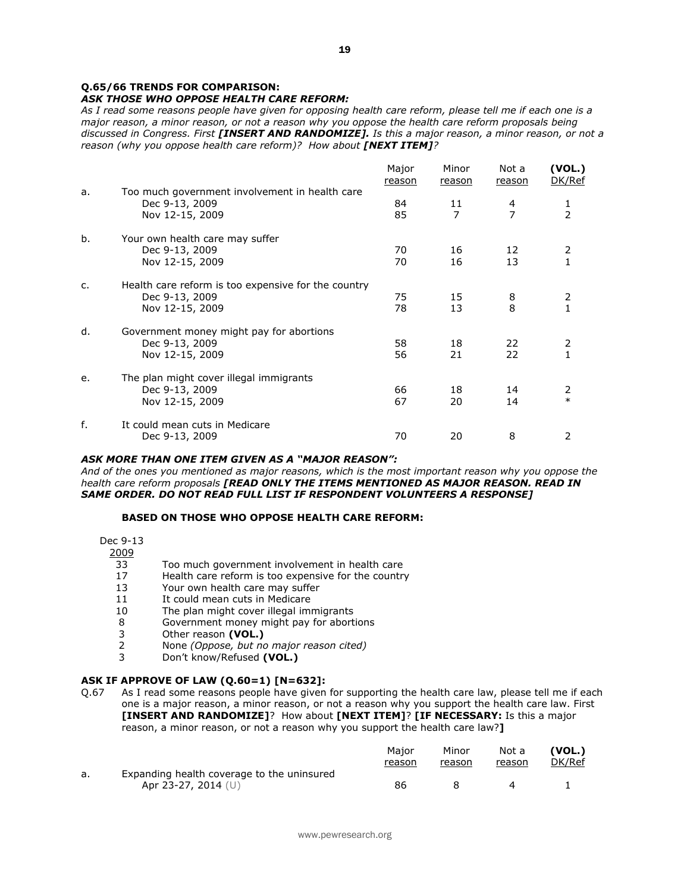## **Q.65/66 TRENDS FOR COMPARISON:**

## *ASK THOSE WHO OPPOSE HEALTH CARE REFORM:*

*As I read some reasons people have given for opposing health care reform, please tell me if each one is a major reason, a minor reason, or not a reason why you oppose the health care reform proposals being discussed in Congress. First [INSERT AND RANDOMIZE]. Is this a major reason, a minor reason, or not a reason (why you oppose health care reform)? How about [NEXT ITEM]?*

|    |                                                                                          | Major<br>reason | Minor<br>reason | Not a<br>reason     | (VOL.)<br>DK/Ref    |
|----|------------------------------------------------------------------------------------------|-----------------|-----------------|---------------------|---------------------|
| a. | Too much government involvement in health care<br>Dec 9-13, 2009<br>Nov 12-15, 2009      | 84<br>85        | 11<br>7         | 4<br>$\overline{7}$ | 1<br>$\overline{2}$ |
| b. | Your own health care may suffer<br>Dec 9-13, 2009<br>Nov 12-15, 2009                     | 70<br>70        | 16<br>16        | 12<br>13            | 2                   |
| c. | Health care reform is too expensive for the country<br>Dec 9-13, 2009<br>Nov 12-15, 2009 | 75<br>78        | 15<br>13        | 8<br>8              | 2<br>1              |
| d. | Government money might pay for abortions<br>Dec 9-13, 2009<br>Nov 12-15, 2009            | 58<br>56        | 18<br>21        | 22<br>22            | 2<br>$\mathbf{1}$   |
| e. | The plan might cover illegal immigrants<br>Dec 9-13, 2009<br>Nov 12-15, 2009             | 66<br>67        | 18<br>20        | 14<br>14            | 2<br>$\ast$         |
| f. | It could mean cuts in Medicare<br>Dec 9-13, 2009                                         | 70              | 20              | 8                   | 2                   |

#### *ASK MORE THAN ONE ITEM GIVEN AS A "MAJOR REASON":*

*And of the ones you mentioned as major reasons, which is the most important reason why you oppose the health care reform proposals [READ ONLY THE ITEMS MENTIONED AS MAJOR REASON. READ IN SAME ORDER. DO NOT READ FULL LIST IF RESPONDENT VOLUNTEERS A RESPONSE]*

#### **BASED ON THOSE WHO OPPOSE HEALTH CARE REFORM:**

#### Dec 9-13

 $\frac{2009}{33}$ 

- 33 Too much government involvement in health care<br>17 Health care reform is too expensive for the country
- 17 Health care reform is too expensive for the country<br>13 Your own health care may suffer
- Your own health care may suffer
- 11 It could mean cuts in Medicare
- 10 The plan might cover illegal immigrants
- 8 Government money might pay for abortions
- 3 Other reason **(VOL.)**
- 2 None *(Oppose, but no major reason cited)*
- 3 Don't know/Refused **(VOL.)**

## **ASK IF APPROVE OF LAW (Q.60=1) [N=632]:**

Q.67 As I read some reasons people have given for supporting the health care law, please tell me if each one is a major reason, a minor reason, or not a reason why you support the health care law. First **[INSERT AND RANDOMIZE]**? How about **[NEXT ITEM]**? **[IF NECESSARY:** Is this a major reason, a minor reason, or not a reason why you support the health care law?**]**

|    |                                            | Maior<br>reason | Minor<br>reason | Not a<br>reason | (VOL.)<br>DK/Ref |
|----|--------------------------------------------|-----------------|-----------------|-----------------|------------------|
| a. | Expanding health coverage to the uninsured |                 |                 |                 |                  |
|    | Apr 23-27, 2014 (U)                        | 86              |                 |                 |                  |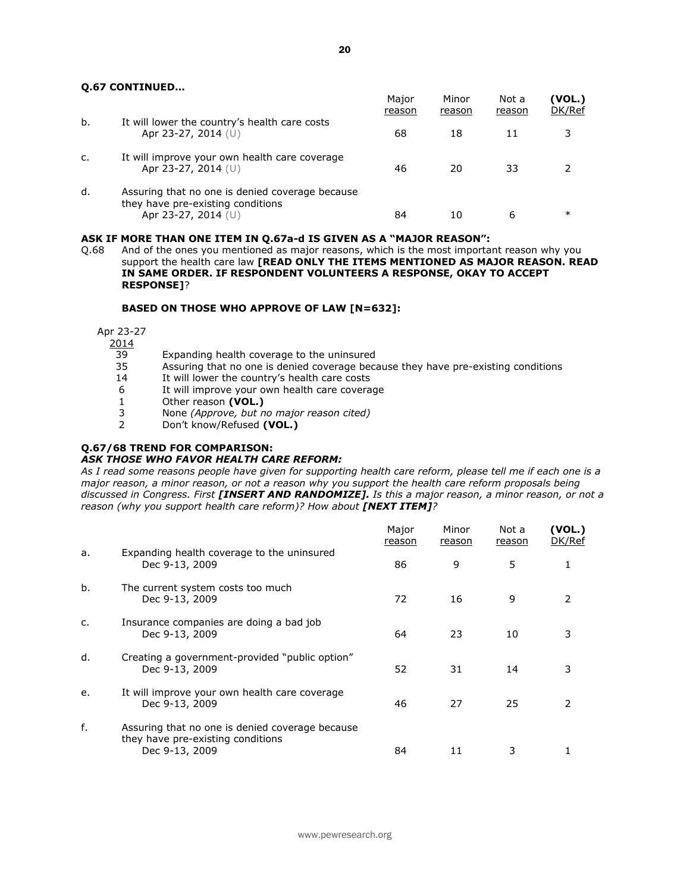#### **Q.67 CONTINUED…**

|    |                                                                                                             | Major<br>reason | Minor<br>reason | Not a<br>reason | (VOL.)<br>DK/Ref |
|----|-------------------------------------------------------------------------------------------------------------|-----------------|-----------------|-----------------|------------------|
| b. | It will lower the country's health care costs<br>Apr 23-27, 2014 $(U)$                                      | 68              | 18              |                 | 3                |
| c. | It will improve your own health care coverage<br>Apr 23-27, 2014 $(U)$                                      | 46              | 20              | 33              |                  |
| d. | Assuring that no one is denied coverage because<br>they have pre-existing conditions<br>Apr 23-27, 2014 (U) | 84              | 10              | ь               | $\ast$           |

#### **ASK IF MORE THAN ONE ITEM IN Q.67a-d IS GIVEN AS A "MAJOR REASON":**

Q.68 And of the ones you mentioned as major reasons, which is the most important reason why you support the health care law **[READ ONLY THE ITEMS MENTIONED AS MAJOR REASON. READ IN SAME ORDER. IF RESPONDENT VOLUNTEERS A RESPONSE, OKAY TO ACCEPT RESPONSE]**?

#### **BASED ON THOSE WHO APPROVE OF LAW [N=632]:**

Apr 23-27

 $\frac{2014}{39}$ 

- 39 Expanding health coverage to the uninsured<br>35 Assuring that no one is denied coverage beca
- 35 Assuring that no one is denied coverage because they have pre-existing conditions 14 It will lower the country's health care costs
- It will lower the country's health care costs
- 6 It will improve your own health care coverage
- 1 Other reason **(VOL.)**
- 3 None *(Approve, but no major reason cited)*
- 2 Don't know/Refused **(VOL.)**

# **Q.67/68 TREND FOR COMPARISON:**

## *ASK THOSE WHO FAVOR HEALTH CARE REFORM:*

*As I read some reasons people have given for supporting health care reform, please tell me if each one is a major reason, a minor reason, or not a reason why you support the health care reform proposals being discussed in Congress. First [INSERT AND RANDOMIZE]. Is this a major reason, a minor reason, or not a reason (why you support health care reform)? How about [NEXT ITEM]?* 

|    |                                                                                                        | Major<br>reason | Minor<br>reason | Not a<br>reason | (VOL.)<br>DK/Ref |
|----|--------------------------------------------------------------------------------------------------------|-----------------|-----------------|-----------------|------------------|
| a. | Expanding health coverage to the uninsured<br>Dec 9-13, 2009                                           | 86              | 9               | 5               |                  |
| b. | The current system costs too much<br>Dec 9-13, 2009                                                    | 72              | 16              | 9               | 2                |
| C. | Insurance companies are doing a bad job<br>Dec 9-13, 2009                                              | 64              | 23              | 10              |                  |
| d. | Creating a government-provided "public option"<br>Dec 9-13, 2009                                       | 52              | 31              | 14              | 3                |
| e. | It will improve your own health care coverage<br>Dec 9-13, 2009                                        | 46              | 27              | 25              |                  |
| f. | Assuring that no one is denied coverage because<br>they have pre-existing conditions<br>Dec 9-13, 2009 | 84              | 11              | 3               |                  |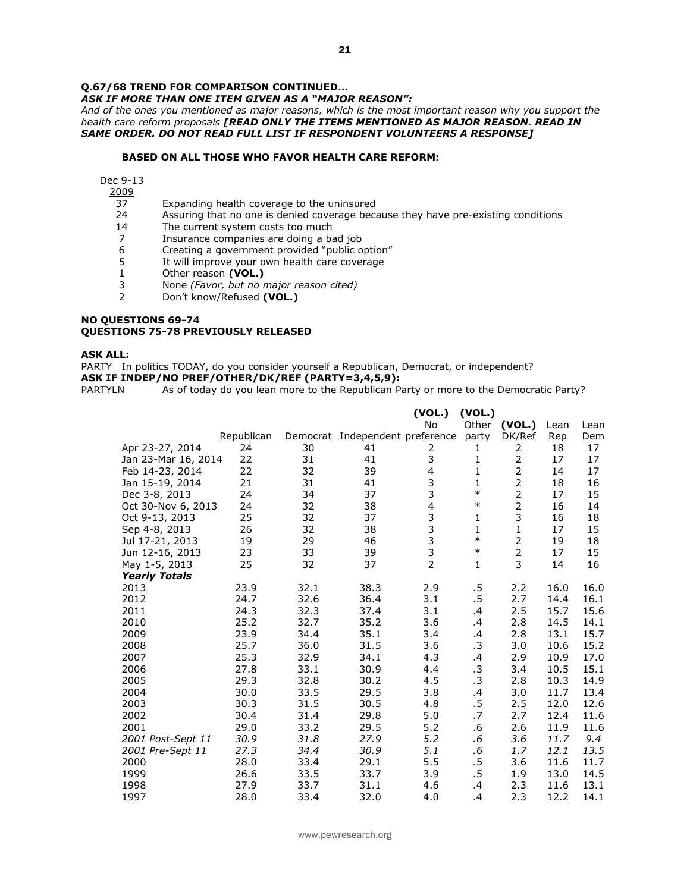## **Q.67/68 TREND FOR COMPARISON CONTINUED…**

*ASK IF MORE THAN ONE ITEM GIVEN AS A "MAJOR REASON":*

*And of the ones you mentioned as major reasons, which is the most important reason why you support the health care reform proposals [READ ONLY THE ITEMS MENTIONED AS MAJOR REASON. READ IN SAME ORDER. DO NOT READ FULL LIST IF RESPONDENT VOLUNTEERS A RESPONSE]* 

## **BASED ON ALL THOSE WHO FAVOR HEALTH CARE REFORM:**

Dec 9-13

 $\frac{2009}{37}$ 

- 37 Expanding health coverage to the uninsured<br>24 Assuring that no one is denied coverage beca
- Assuring that no one is denied coverage because they have pre-existing conditions
- 14 The current system costs too much
- 7 Insurance companies are doing a bad job
- 6 Creating a government provided "public option"
- 5 It will improve your own health care coverage
- 1 Other reason **(VOL.)**
- 3 None *(Favor, but no major reason cited)*
- 2 Don't know/Refused **(VOL.)**

#### **NO QUESTIONS 69-74 QUESTIONS 75-78 PREVIOUSLY RELEASED**

#### **ASK ALL:**

PARTY In politics TODAY, do you consider yourself a Republican, Democrat, or independent?

## **ASK IF INDEP/NO PREF/OTHER/DK/REF (PARTY=3,4,5,9):**

PARTYLN As of today do you lean more to the Republican Party or more to the Democratic Party?

|                      |            |          |                        | (VOL.)                  | (VOL.)       |                |      |            |
|----------------------|------------|----------|------------------------|-------------------------|--------------|----------------|------|------------|
|                      |            |          |                        | <b>No</b>               | Other        | (VOL.)         | Lean | Lean       |
|                      | Republican | Democrat | Independent preference |                         | party        | DK/Ref         | Rep  | <u>Dem</u> |
| Apr 23-27, 2014      | 24         | 30       | 41                     | 2                       | 1            | 2              | 18   | 17         |
| Jan 23-Mar 16, 2014  | 22         | 31       | 41                     | 3                       | $\mathbf{1}$ | 2              | 17   | 17         |
| Feb 14-23, 2014      | 22         | 32       | 39                     | $\overline{4}$          | 1            | $\overline{2}$ | 14   | 17         |
| Jan 15-19, 2014      | 21         | 31       | 41                     | 3                       | 1            | $\overline{2}$ | 18   | 16         |
| Dec 3-8, 2013        | 24         | 34       | 37                     | 3                       | $\ast$       | $\overline{2}$ | 17   | 15         |
| Oct 30-Nov 6, 2013   | 24         | 32       | 38                     | $\overline{\mathbf{4}}$ | $\ast$       | $\overline{2}$ | 16   | 14         |
| Oct 9-13, 2013       | 25         | 32       | 37                     | $\frac{3}{3}$           | 1            | 3              | 16   | 18         |
| Sep 4-8, 2013        | 26         | 32       | 38                     |                         | $\mathbf{1}$ | $\mathbf{1}$   | 17   | 15         |
| Jul 17-21, 2013      | 19         | 29       | 46                     | $\frac{3}{3}$           | $\ast$       | $\overline{2}$ | 19   | 18         |
| Jun 12-16, 2013      | 23         | 33       | 39                     |                         | $\ast$       | $\overline{2}$ | 17   | 15         |
| May 1-5, 2013        | 25         | 32       | 37                     | $\overline{2}$          | 1            | 3              | 14   | 16         |
| <b>Yearly Totals</b> |            |          |                        |                         |              |                |      |            |
| 2013                 | 23.9       | 32.1     | 38.3                   | 2.9                     | .5           | 2.2            | 16.0 | 16.0       |
| 2012                 | 24.7       | 32.6     | 36.4                   | 3.1                     | .5           | 2.7            | 14.4 | 16.1       |
| 2011                 | 24.3       | 32.3     | 37.4                   | 3.1                     | .4           | 2.5            | 15.7 | 15.6       |
| 2010                 | 25.2       | 32.7     | 35.2                   | 3.6                     | .4           | 2.8            | 14.5 | 14.1       |
| 2009                 | 23.9       | 34.4     | 35.1                   | 3.4                     | .4           | 2.8            | 13.1 | 15.7       |
| 2008                 | 25.7       | 36.0     | 31.5                   | 3.6                     | .3           | 3.0            | 10.6 | 15.2       |
| 2007                 | 25.3       | 32.9     | 34.1                   | 4.3                     | .4           | 2.9            | 10.9 | 17.0       |
| 2006                 | 27.8       | 33.1     | 30.9                   | 4.4                     | .3           | 3.4            | 10.5 | 15.1       |
| 2005                 | 29.3       | 32.8     | 30.2                   | 4.5                     | .3           | 2.8            | 10.3 | 14.9       |
| 2004                 | 30.0       | 33.5     | 29.5                   | 3.8                     | .4           | 3.0            | 11.7 | 13.4       |
| 2003                 | 30.3       | 31.5     | 30.5                   | 4.8                     | $.5\,$       | 2.5            | 12.0 | 12.6       |
| 2002                 | 30.4       | 31.4     | 29.8                   | 5.0                     | .7           | 2.7            | 12.4 | 11.6       |
| 2001                 | 29.0       | 33.2     | 29.5                   | 5.2                     | .6           | 2.6            | 11.9 | 11.6       |
| 2001 Post-Sept 11    | 30.9       | 31.8     | 27.9                   | 5.2                     | .6           | 3.6            | 11.7 | 9.4        |
| 2001 Pre-Sept 11     | 27.3       | 34.4     | 30.9                   | 5.1                     | .6           | 1.7            | 12.1 | 13.5       |
| 2000                 | 28.0       | 33.4     | 29.1                   | 5.5                     | $.5\,$       | 3.6            | 11.6 | 11.7       |
| 1999                 | 26.6       | 33.5     | 33.7                   | 3.9                     | .5           | 1.9            | 13.0 | 14.5       |
| 1998                 | 27.9       | 33.7     | 31.1                   | 4.6                     | $\cdot$      | 2.3            | 11.6 | 13.1       |
| 1997                 | 28.0       | 33.4     | 32.0                   | 4.0                     | $\cdot$      | 2.3            | 12.2 | 14.1       |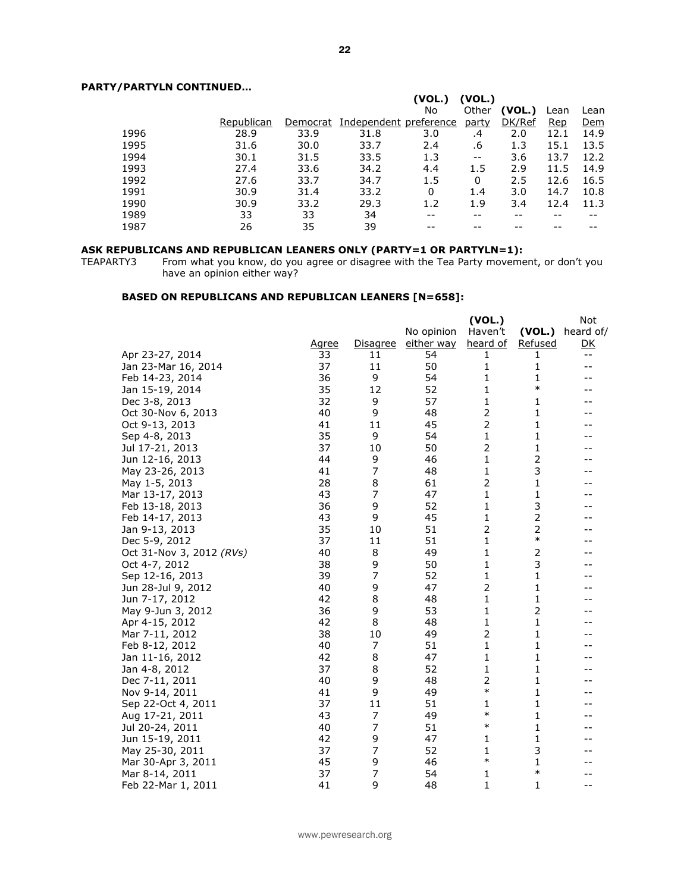## **PARTY/PARTYLN CONTINUED…**

| 7 FARI I LIV CONTINUED |            |          |                        |        |                   |        |      |      |
|------------------------|------------|----------|------------------------|--------|-------------------|--------|------|------|
|                        |            |          |                        | (VOL.) | (VOL.)            |        |      |      |
|                        |            |          |                        | No     | Other             | (VOL.) | Lean | Lean |
|                        | Republican | Democrat | Independent preference |        | <u>party</u>      | DK/Ref | Rep  | Dem  |
| 1996                   | 28.9       | 33.9     | 31.8                   | 3.0    | .4                | 2.0    | 12.1 | 14.9 |
| 1995                   | 31.6       | 30.0     | 33.7                   | 2.4    | .6                | 1.3    | 15.1 | 13.5 |
| 1994                   | 30.1       | 31.5     | 33.5                   | 1.3    | $\qquad \qquad -$ | 3.6    | 13.7 | 12.2 |
| 1993                   | 27.4       | 33.6     | 34.2                   | 4.4    | 1.5               | 2.9    | 11.5 | 14.9 |
| 1992                   | 27.6       | 33.7     | 34.7                   | 1.5    | 0                 | 2.5    | 12.6 | 16.5 |
| 1991                   | 30.9       | 31.4     | 33.2                   | 0      | 1.4               | 3.0    | 14.7 | 10.8 |
| 1990                   | 30.9       | 33.2     | 29.3                   | 1.2    | 1.9               | 3.4    | 12.4 | 11.3 |
| 1989                   | 33         | 33       | 34                     |        |                   |        |      |      |
| 1987                   | 26         | 35       | 39                     |        |                   |        |      |      |

#### **ASK REPUBLICANS AND REPUBLICAN LEANERS ONLY (PARTY=1 OR PARTYLN=1):**

TEAPARTY3 From what you know, do you agree or disagree with the Tea Party movement, or don't you have an opinion either way?

## **BASED ON REPUBLICANS AND REPUBLICAN LEANERS [N=658]:**

|                          |       |                 |            | (VOL.)         |                | Not               |
|--------------------------|-------|-----------------|------------|----------------|----------------|-------------------|
|                          |       |                 | No opinion | Haven't        | (VOL.)         | heard of/         |
|                          | Agree | <b>Disagree</b> | either way | heard of       | Refused        | <u>DK</u>         |
| Apr 23-27, 2014          | 33    | 11              | 54         | 1              | 1              | $- -$             |
| Jan 23-Mar 16, 2014      | 37    | 11              | 50         | 1              | 1              | $\qquad \qquad -$ |
| Feb 14-23, 2014          | 36    | 9               | 54         | 1              | $\mathbf{1}$   |                   |
| Jan 15-19, 2014          | 35    | 12              | 52         | 1              | $\ast$         |                   |
| Dec 3-8, 2013            | 32    | 9               | 57         | 1              | 1              |                   |
| Oct 30-Nov 6, 2013       | 40    | 9               | 48         | 2              | 1              |                   |
| Oct 9-13, 2013           | 41    | 11              | 45         | $\overline{2}$ | 1              |                   |
| Sep 4-8, 2013            | 35    | 9               | 54         | 1              | 1              |                   |
| Jul 17-21, 2013          | 37    | 10              | 50         | 2              | $\mathbf 1$    |                   |
| Jun 12-16, 2013          | 44    | 9               | 46         | 1              | 2              |                   |
| May 23-26, 2013          | 41    | 7               | 48         | 1              | 3              |                   |
| May 1-5, 2013            | 28    | 8               | 61         | $\overline{2}$ | 1              |                   |
| Mar 13-17, 2013          | 43    | $\overline{7}$  | 47         | 1              | 1              |                   |
| Feb 13-18, 2013          | 36    | 9               | 52         | 1              | 3              |                   |
| Feb 14-17, 2013          | 43    | 9               | 45         | 1              | 2              |                   |
| Jan 9-13, 2013           | 35    | 10              | 51         | 2              | 2              |                   |
| Dec 5-9, 2012            | 37    | 11              | 51         | 1              | $\ast$         |                   |
| Oct 31-Nov 3, 2012 (RVs) | 40    | 8               | 49         | 1              | $\overline{2}$ |                   |
| Oct 4-7, 2012            | 38    | 9               | 50         | 1              | 3              |                   |
| Sep 12-16, 2013          | 39    | $\overline{7}$  | 52         | 1              | $\mathbf{1}$   |                   |
| Jun 28-Jul 9, 2012       | 40    | 9               | 47         | 2              | $\mathbf{1}$   |                   |
| Jun 7-17, 2012           | 42    | 8               | 48         | 1              | 1              |                   |
| May 9-Jun 3, 2012        | 36    | 9               | 53         | 1              | $\overline{2}$ |                   |
| Apr 4-15, 2012           | 42    | 8               | 48         | 1              | 1              |                   |
| Mar 7-11, 2012           | 38    | 10              | 49         | 2              | 1              |                   |
| Feb 8-12, 2012           | 40    | 7               | 51         | 1              | $\mathbf{1}$   |                   |
| Jan 11-16, 2012          | 42    | 8               | 47         | 1              | $\mathbf 1$    |                   |
| Jan 4-8, 2012            | 37    | 8               | 52         | 1              | 1              |                   |
| Dec 7-11, 2011           | 40    | 9               | 48         | 2              | 1              |                   |
| Nov 9-14, 2011           | 41    | 9               | 49         | $\ast$         | 1              |                   |
| Sep 22-Oct 4, 2011       | 37    | 11              | 51         | 1              | 1              |                   |
| Aug 17-21, 2011          | 43    | 7               | 49         | $\ast$         | $\mathbf{1}$   |                   |
| Jul 20-24, 2011          | 40    | 7               | 51         | $\ast$         | $\mathbf{1}$   |                   |
| Jun 15-19, 2011          | 42    | 9               | 47         | 1              | $\mathbf{1}$   |                   |
| May 25-30, 2011          | 37    | 7               | 52         | 1              | 3              |                   |
| Mar 30-Apr 3, 2011       | 45    | 9               | 46         | $\ast$         | 1              |                   |
| Mar 8-14, 2011           | 37    | 7               | 54         | 1              | $\ast$         |                   |
| Feb 22-Mar 1, 2011       | 41    | 9               | 48         | $\mathbf{1}$   | 1              | $- -$             |